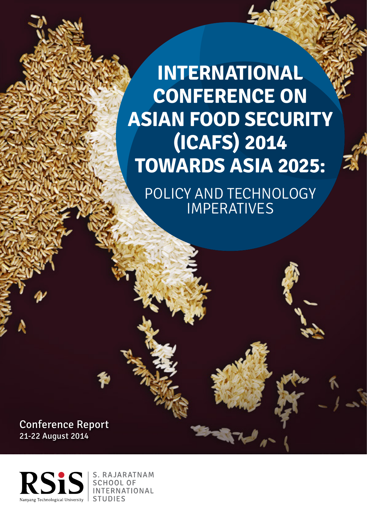**INTERNATIONAL CONFERENCE ON ASIAN FOOD SECURITY (ICAFS) 2014 TOWARDS ASIA 2025:**

POLICY AND TECHNOLOGY IMPERATIVES

Conference Report 21-22 August 2014

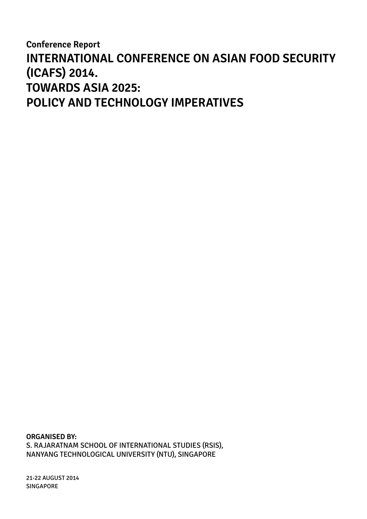**Conference Report INTERNATIONAL CONFERENCE ON ASIAN FOOD SECURITY (ICAFS) 2014. TOWARDS ASIA 2025: POLICY AND TECHNOLOGY IMPERATIVES**

**Organised by:** s. rajaratnam school of international studies (RSIS), nanyang technological university (NTU), SINGAPORE

21-22 AUGUST 2014 SINGAPORE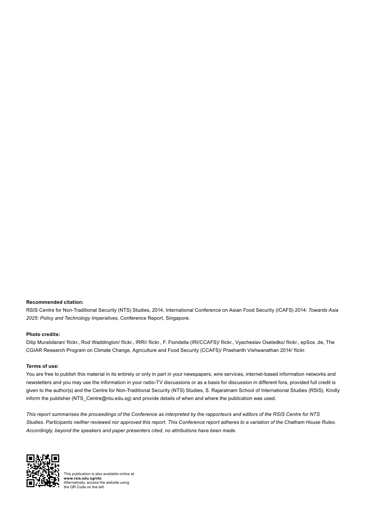#### **Recommended citation:**

RSIS Centre for Non-Traditional Security (NTS) Studies, 2014, International Conference on Asian Food Security (ICAFS) 2014: *Towards Asia 2025: Policy and Technology Imperatives*, Conference Report, Singapore.

#### **Photo credits:**

Dilip Muralidaran/ flickr., Rod Waddington/ flickr., IRRI/ flickr., F. Fiondella (IRI/CCAFS)/ flickr., Vyacheslav Oseledko/ flickr., epSos .de, The CGIAR Research Program on Climate Change, Agriculture and Food Security (CCAFS)/ Prashanth Vishwanathan 2014/ flickr.

#### **Terms of use:**

You are free to publish this material in its entirety or only in part in your newspapers, wire services, internet-based information networks and newsletters and you may use the information in your radio-TV discussions or as a basis for discussion in different fora, provided full credit is given to the author(s) and the Centre for Non-Traditional Security (NTS) Studies, S. Rajaratnam School of International Studies (RSIS). Kindly inform the publisher (NTS\_Centre@ntu.edu.sg) and provide details of when and where the publication was used.

*This report summarises the proceedings of the Conference as interpreted by the rapporteurs and editors of the RSIS Centre for NTS Studies. Participants neither reviewed nor approved this report. This Conference report adheres to a variation of the Chatham House Rules. Accordingly, beyond the speakers and paper presenters cited, no attributions have been made.*



This publication is also available online at: **www.rsis.edu.sg/nts** Alternatively, access the website using the QR Code on the left.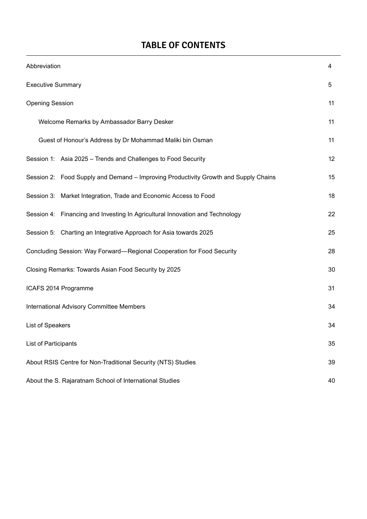# **TABLE OF CONTENTS**

| Abbreviation                                                                        |    |  |  |  |
|-------------------------------------------------------------------------------------|----|--|--|--|
| <b>Executive Summary</b>                                                            |    |  |  |  |
| <b>Opening Session</b>                                                              | 11 |  |  |  |
| Welcome Remarks by Ambassador Barry Desker                                          | 11 |  |  |  |
| Guest of Honour's Address by Dr Mohammad Maliki bin Osman                           | 11 |  |  |  |
| Session 1: Asia 2025 - Trends and Challenges to Food Security                       | 12 |  |  |  |
| Session 2: Food Supply and Demand – Improving Productivity Growth and Supply Chains | 15 |  |  |  |
| Session 3: Market Integration, Trade and Economic Access to Food                    | 18 |  |  |  |
| Session 4: Financing and Investing In Agricultural Innovation and Technology        | 22 |  |  |  |
| Session 5: Charting an Integrative Approach for Asia towards 2025                   | 25 |  |  |  |
| Concluding Session: Way Forward-Regional Cooperation for Food Security              |    |  |  |  |
| Closing Remarks: Towards Asian Food Security by 2025                                |    |  |  |  |
| ICAFS 2014 Programme                                                                |    |  |  |  |
| International Advisory Committee Members                                            |    |  |  |  |
| List of Speakers                                                                    |    |  |  |  |
| List of Participants                                                                | 35 |  |  |  |
| About RSIS Centre for Non-Traditional Security (NTS) Studies                        |    |  |  |  |
| About the S. Rajaratnam School of International Studies                             |    |  |  |  |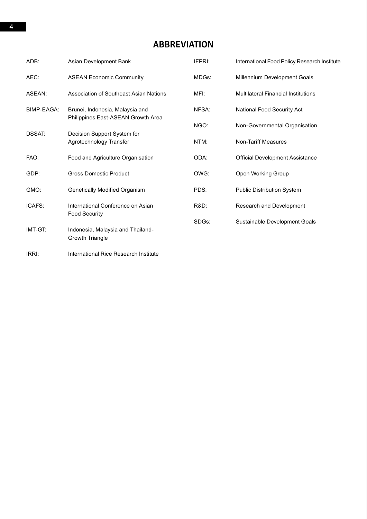# **Abbreviation**

| ADB:          | Asian Development Bank                                                | IFPRI: | International Food Policy Research Institute |
|---------------|-----------------------------------------------------------------------|--------|----------------------------------------------|
| AEC:          | <b>ASEAN Economic Community</b>                                       | MDGs:  | Millennium Development Goals                 |
| ASEAN:        | Association of Southeast Asian Nations                                | MFI:   | <b>Multilateral Financial Institutions</b>   |
| BIMP-EAGA:    | Brunei, Indonesia, Malaysia and<br>Philippines East-ASEAN Growth Area | NFSA:  | National Food Security Act                   |
|               |                                                                       | NGO:   | Non-Governmental Organisation                |
| <b>DSSAT:</b> | Decision Support System for<br>Agrotechnology Transfer                | NTM:   | <b>Non-Tariff Measures</b>                   |
| FAO:          | Food and Agriculture Organisation                                     | ODA:   | <b>Official Development Assistance</b>       |
| GDP:          | <b>Gross Domestic Product</b>                                         | OWG:   | Open Working Group                           |
| GMO:          | Genetically Modified Organism                                         | PDS:   | Public Distribution System                   |
| ICAFS:        | International Conference on Asian                                     | R&D:   | Research and Development                     |
|               | Food Security                                                         | SDGs:  | Sustainable Development Goals                |
| IMT-GT:       | Indonesia, Malaysia and Thailand-<br>Growth Triangle                  |        |                                              |
| IRRI:         | International Rice Research Institute                                 |        |                                              |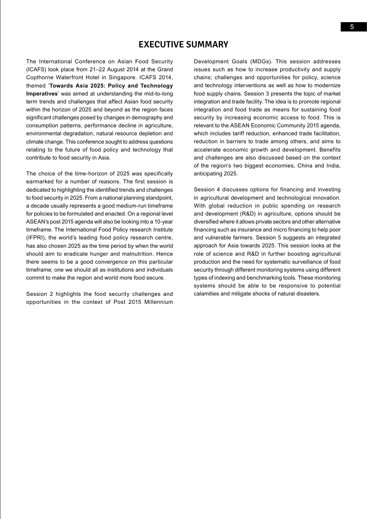# **Executive Summary**

The International Conference on Asian Food Security (ICAFS) took place from 21–22 August 2014 at the Grand Copthorne Waterfront Hotel in Singapore. ICAFS 2014, themed '**Towards Asia 2025: Policy and Technology Imperatives**' was aimed at understanding the mid-to-long term trends and challenges that affect Asian food security within the horizon of 2025 and beyond as the region faces significant challenges posed by changes in demography and consumption patterns, performance decline in agriculture, environmental degradation, natural resource depletion and climate change. This conference sought to address questions relating to the future of food policy and technology that contribute to food security in Asia.

The choice of the time-horizon of 2025 was specifically earmarked for a number of reasons. The first session is dedicated to highlighting the identified trends and challenges to food security in 2025. From a national planning standpoint, a decade usually represents a good medium-run timeframe for policies to be formulated and enacted. On a regional level ASEAN's post 2015 agenda will also be looking into a 10-year timeframe. The International Food Policy research Institute (IFPRI), the world's leading food policy research centre, has also chosen 2025 as the time period by when the world should aim to eradicate hunger and malnutrition. Hence there seems to be a good convergence on this particular timeframe; one we should all as institutions and individuals commit to make the region and world more food secure.

Session 2 highlights the food security challenges and opportunities in the context of Post 2015 Millennium Development Goals (MDGs). This session addresses issues such as how to increase productivity and supply chains; challenges and opportunities for policy, science and technology interventions as well as how to modernize food supply chains. Session 3 presents the topic of market integration and trade facility. The idea is to promote regional integration and food trade as means for sustaining food security by increasing economic access to food. This is relevant to the ASEAN Economic Community 2015 agenda, which includes tariff reduction, enhanced trade facilitation, reduction in barriers to trade among others, and aims to accelerate economic growth and development. Benefits and challenges are also discussed based on the context of the region's two biggest economies, China and India, anticipating 2025.

Session 4 discusses options for financing and investing in agricultural development and technological innovation. With global reduction in public spending on research and development (R&D) in agriculture, options should be diversified where it allows private sectors and other alternative financing such as insurance and micro financing to help poor and vulnerable farmers. Session 5 suggests an integrated approach for Asia towards 2025. This session looks at the role of science and R&D in further boosting agricultural production and the need for systematic surveillance of food security through different monitoring systems using different types of indexing and benchmarking tools. These monitoring systems should be able to be responsive to potential calamities and mitigate shocks of natural disasters.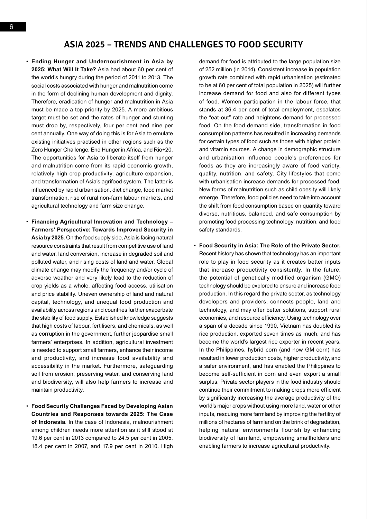# **Asia 2025 – Trends and Challenges to Food Security**

- • **Ending Hunger and Undernourishment in Asia by 2025: What Will It Take?** Asia had about 60 per cent of the world's hungry during the period of 2011 to 2013. The social costs associated with hunger and malnutrition come in the form of declining human development and dignity. Therefore, eradication of hunger and malnutrition in Asia must be made a top priority by 2025. A more ambitious target must be set and the rates of hunger and stunting must drop by, respectively, four per cent and nine per cent annually. One way of doing this is for Asia to emulate existing initiatives practised in other regions such as the Zero Hunger Challenge, End Hunger in Africa, and Rio+20. The opportunities for Asia to liberate itself from hunger and malnutrition come from its rapid economic growth, relatively high crop productivity, agriculture expansion, and transformation of Asia's agrifood system. The latter is influenced by rapid urbanisation, diet change, food market transformation, rise of rural non-farm labour markets, and agricultural technology and farm size change.
- • **Financing Agricultural Innovation and Technology Farmers' Perspective: Towards Improved Security in Asia by 2025**. On the food supply side, Asia is facing natural resource constraints that result from competitive use of land and water, land conversion, increase in degraded soil and polluted water, and rising costs of land and water. Global climate change may modify the frequency and/or cycle of adverse weather and very likely lead to the reduction of crop yields as a whole, affecting food access, utilisation and price stability. Uneven ownership of land and natural capital, technology, and unequal food production and availability across regions and countries further exacerbate the stability of food supply. Established knowledge suggests that high costs of labour, fertilisers, and chemicals, as well as corruption in the government, further jeopardise small farmers' enterprises. In addition, agricultural investment is needed to support small farmers, enhance their income and productivity, and increase food availability and accessibility in the market. Furthermore, safeguarding soil from erosion, preserving water, and conserving land and biodiversity, will also help farmers to increase and maintain productivity.
- • **Food Security Challenges Faced by Developing Asian Countries and Responses towards 2025: The Case of Indonesia**. In the case of Indonesia, malnourishment among children needs more attention as it still stood at 19.6 per cent in 2013 compared to 24.5 per cent in 2005, 18.4 per cent in 2007, and 17.9 per cent in 2010. High

demand for food is attributed to the large population size of 252 million (in 2014). Consistent increase in population growth rate combined with rapid urbanisation (estimated to be at 60 per cent of total population in 2025) will further increase demand for food and also for different types of food. Women participation in the labour force, that stands at 36.4 per cent of total employment, escalates the "eat-out" rate and heightens demand for processed food. On the food demand side, transformation in food consumption patterns has resulted in increasing demands for certain types of food such as those with higher protein and vitamin sources. A change in demographic structure and urbanisation influence people's preferences for foods as they are increasingly aware of food variety, quality, nutrition, and safety. City lifestyles that come with urbanisation increase demands for processed food. New forms of malnutrition such as child obesity will likely emerge. Therefore, food policies need to take into account the shift from food consumption based on quantity toward diverse, nutritious, balanced, and safe consumption by promoting food processing technology, nutrition, and food safety standards.

• **Food Security in Asia: The Role of the Private Sector.**  Recent history has shown that technology has an important role to play in food security as it creates better inputs that increase productivity consistently. In the future, the potential of genetically modified organism (GMO) technology should be explored to ensure and increase food production. In this regard the private sector, as technology developers and providers, connects people, land and technology, and may offer better solutions, support rural economies, and resource efficiency. Using technology over a span of a decade since 1990, Vietnam has doubled its rice production, exported seven times as much, and has become the world's largest rice exporter in recent years. In the Philippines, hybrid corn (and now GM corn) has resulted in lower production costs, higher productivity, and a safer environment, and has enabled the Philippines to become self-sufficient in corn and even export a small surplus. Private sector players in the food industry should continue their commitment to making crops more efficient by significantly increasing the average productivity of the world's major crops without using more land, water or other inputs, rescuing more farmland by improving the fertility of millions of hectares of farmland on the brink of degradation, helping natural environments flourish by enhancing biodiversity of farmland, empowering smallholders and enabling farmers to increase agricultural productivity.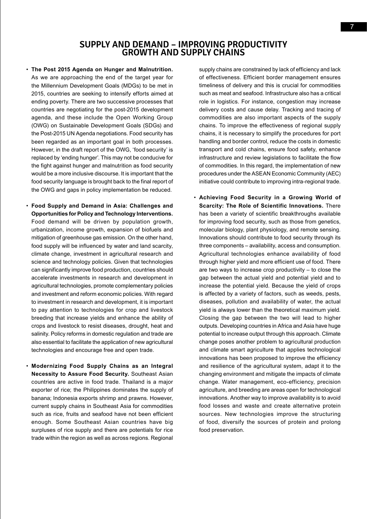## **SUPPLY AND DEMAND – IMPROVING PR GROWTH AND SUPPLY CH**

• **The Post 2015 Agenda on Hunger and Malnutrition.** As we are approaching the end of the target year for the Millennium Development Goals (MDGs) to be met in 2015, countries are seeking to intensify efforts aimed at ending poverty. There are two successive processes that countries are negotiating for the post-2015 development agenda, and these include the Open Working Group (OWG) on Sustainable Development Goals (SDGs) and the Post-2015 UN Agenda negotiations. Food security has been regarded as an important goal in both processes. However, in the draft report of the OWG, 'food security' is replaced by 'ending hunger'. This may not be conducive for the fight against hunger and malnutrition as food security would be a more inclusive discourse. It is important that the food security language is brought back to the final report of the OWG and gaps in policy implementation be reduced.

- • **Food Supply and Demand in Asia: Challenges and Opportunities for Policy and Technology Interventions.**  Food demand will be driven by population growth, urbanization, income growth, expansion of biofuels and mitigation of greenhouse gas emission. On the other hand, food supply will be influenced by water and land scarcity, climate change, investment in agricultural research and science and technology policies. Given that technologies can significantly improve food production, countries should accelerate investments in research and development in agricultural technologies, promote complementary policies and investment and reform economic policies. With regard to investment in research and development, it is important to pay attention to technologies for crop and livestock breeding that increase yields and enhance the ability of crops and livestock to resist diseases, drought, heat and salinity. Policy reforms in domestic regulation and trade are also essential to facilitate the application of new agricultural technologies and encourage free and open trade.
- • **Modernizing Food Supply Chains as an Integral Necessity to Assure Food Security.** Southeast Asian countries are active in food trade. Thailand is a major exporter of rice; the Philippines dominates the supply of banana; Indonesia exports shrimp and prawns. However, current supply chains in Southeast Asia for commodities such as rice, fruits and seafood have not been efficient enough. Some Southeast Asian countries have big surpluses of rice supply and there are potentials for rice trade within the region as well as across regions. Regional

supply chains are constrained by lack of efficiency and lack of effectiveness. Efficient border management ensures timeliness of delivery and this is crucial for commodities such as meat and seafood. Infrastructure also has a critical role in logistics. For instance, congestion may increase delivery costs and cause delay. Tracking and tracing of commodities are also important aspects of the supply chains. To improve the effectiveness of regional supply chains, it is necessary to simplify the procedures for port handling and border control, reduce the costs in domestic transport and cold chains, ensure food safety, enhance infrastructure and review legislations to facilitate the flow of commodities. In this regard, the implementation of new procedures under the ASEAN Economic Community (AEC) initiative could contribute to improving intra-regional trade.

• **Achieving Food Security in a Growing World of Scarcity: The Role of Scientific Innovations.** There has been a variety of scientific breakthroughs available for improving food security, such as those from genetics, molecular biology, plant physiology, and remote sensing. Innovations should contribute to food security through its three components – availability, access and consumption. Agricultural technologies enhance availability of food through higher yield and more efficient use of food. There are two ways to increase crop productivity – to close the gap between the actual yield and potential yield and to increase the potential yield. Because the yield of crops is affected by a variety of factors, such as weeds, pests, diseases, pollution and availability of water, the actual yield is always lower than the theoretical maximum yield. Closing the gap between the two will lead to higher outputs. Developing countries in Africa and Asia have huge potential to increase output through this approach. Climate change poses another problem to agricultural production and climate smart agriculture that applies technological innovations has been proposed to improve the efficiency and resilience of the agricultural system, adapt it to the changing environment and mitigate the impacts of climate change. Water management, eco-efficiency, precision agriculture, and breeding are areas open for technological innovations. Another way to improve availability is to avoid food losses and waste and create alternative protein sources. New technologies improve the structuring of food, diversify the sources of protein and prolong food preservation.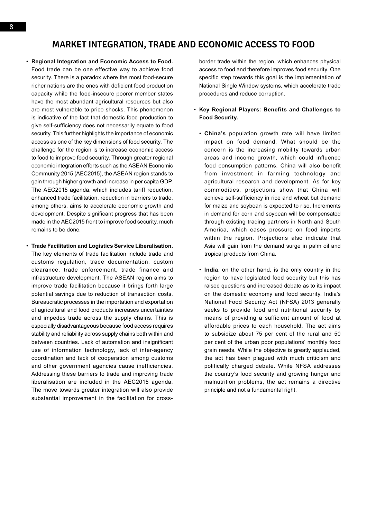# **Market Integration, Trade And Economic Access To Food**

- • **Regional Integration and Economic Access to Food.** Food trade can be one effective way to achieve food security. There is a paradox where the most food-secure richer nations are the ones with deficient food production capacity while the food-insecure poorer member states have the most abundant agricultural resources but also are most vulnerable to price shocks. This phenomenon is indicative of the fact that domestic food production to give self-sufficiency does not necessarily equate to food security. This further highlights the importance of economic access as one of the key dimensions of food security. The challenge for the region is to increase economic access to food to improve food security. Through greater regional economic integration efforts such as the ASEAN Economic Community 2015 (AEC2015), the ASEAN region stands to gain through higher growth and increase in per capita GDP. The AEC2015 agenda, which includes tariff reduction, enhanced trade facilitation, reduction in barriers to trade, among others, aims to accelerate economic growth and development. Despite significant progress that has been made in the AEC2015 front to improve food security, much remains to be done.
- • **Trade Facilitation and Logistics Service Liberalisation.** The key elements of trade facilitation include trade and customs regulation, trade documentation, custom clearance, trade enforcement, trade finance and infrastructure development. The ASEAN region aims to improve trade facilitation because it brings forth large potential savings due to reduction of transaction costs. Bureaucratic processes in the importation and exportation of agricultural and food products increases uncertainties and impedes trade across the supply chains. This is especially disadvantageous because food access requires stability and reliability across supply chains both within and between countries. Lack of automation and insignificant use of information technology, lack of inter-agency coordination and lack of cooperation among customs and other government agencies cause inefficiencies. Addressing these barriers to trade and improving trade liberalisation are included in the AEC2015 agenda. The move towards greater integration will also provide substantial improvement in the facilitation for cross-

border trade within the region, which enhances physical access to food and therefore improves food security. One specific step towards this goal is the implementation of National Single Window systems, which accelerate trade procedures and reduce corruption.

#### • **Key Regional Players: Benefits and Challenges to Food Security.**

- • **China's** population growth rate will have limited impact on food demand. What should be the concern is the increasing mobility towards urban areas and income growth, which could influence food consumption patterns. China will also benefit from investment in farming technology and agricultural research and development. As for key commodities, projections show that China will achieve self-sufficiency in rice and wheat but demand for maize and soybean is expected to rise. Increments in demand for corn and soybean will be compensated through existing trading partners in North and South America, which eases pressure on food imports within the region. Projections also indicate that Asia will gain from the demand surge in palm oil and tropical products from China.
- • **India**, on the other hand, is the only country in the region to have legislated food security but this has raised questions and increased debate as to its impact on the domestic economy and food security. India's National Food Security Act (NFSA) 2013 generally seeks to provide food and nutritional security by means of providing a sufficient amount of food at affordable prices to each household. The act aims to subsidize about 75 per cent of the rural and 50 per cent of the urban poor populations' monthly food grain needs. While the objective is greatly applauded, the act has been plagued with much criticism and politically charged debate. While NFSA addresses the country's food security and growing hunger and malnutrition problems, the act remains a directive principle and not a fundamental right.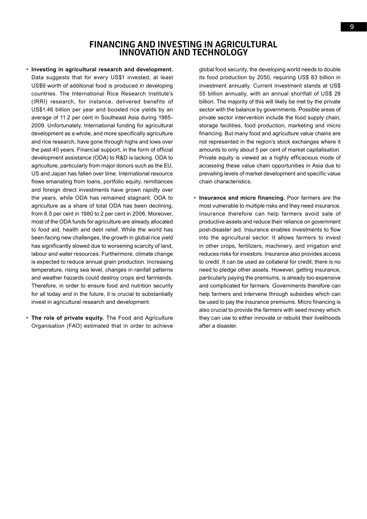## **Financing and Investing in Agricultural INNOVATION AND TE**

• **Investing in agricultural research and development.** Data suggests that for every US\$1 invested, at least US\$9 worth of additional food is produced in developing countries. The International Rice Research Institute's (IRRI) research, for instance, delivered benefits of US\$1.46 billion per year and boosted rice yields by an average of 11.2 per cent in Southeast Asia during 1985- 2009. Unfortunately, International funding for agricultural development as a whole, and more specifically agriculture and rice research, have gone through highs and lows over the past 40 years. Financial support, in the form of official development assistance (ODA) to R&D is lacking. ODA to agriculture, particularly from major donors such as the EU, US and Japan has fallen over time. International resource flows emanating from loans, portfolio equity, remittances and foreign direct investments have grown rapidly over the years, while ODA has remained stagnant. ODA to agriculture as a share of total ODA has been declining, from 8.5 per cent in 1980 to 2 per cent in 2006. Moreover, most of the ODA funds for agriculture are already allocated to food aid, health and debt relief. While the world has been facing new challenges, the growth in global rice yield has significantly slowed due to worsening scarcity of land, labour and water resources. Furthermore, climate change is expected to reduce annual grain production. Increasing temperature, rising sea level, changes in rainfall patterns and weather hazards could destroy crops and farmlands. Therefore, in order to ensure food and nutrition security for all today and in the future, it is crucial to substantially invest in agricultural research and development.

• **The role of private equity.** The Food and Agriculture Organisation (FAO) estimated that in order to achieve

global food security, the developing world needs to double its food production by 2050, requiring US\$ 83 billion in investment annually. Current investment stands at US\$ 55 billion annually, with an annual shortfall of US\$ 28 billion. The majority of this will likely be met by the private sector with the balance by governments. Possible areas of private sector intervention include the food supply chain, storage facilities, food production, marketing and micro financing. But many food and agriculture value chains are not represented in the region's stock exchanges where it amounts to only about 5 per cent of market capitalisation. Private equity is viewed as a highly efficacious mode of accessing these value chain opportunities in Asia due to prevailing levels of market development and specific value chain characteristics.

• **Insurance and micro financing.** Poor farmers are the most vulnerable to multiple risks and they need insurance. Insurance therefore can help farmers avoid sale of productive assets and reduce their reliance on government post-disaster aid. Insurance enables investments to flow into the agricultural sector. It allows farmers to invest in other crops, fertilizers, machinery, and irrigation and reduces risks for investors. Insurance also provides access to credit. It can be used as collateral for credit; there is no need to pledge other assets. However, getting insurance, particularly paying the premiums, is already too expensive and complicated for farmers. Governments therefore can help farmers and intervene through subsidies which can be used to pay the insurance premiums. Micro financing is also crucial to provide the farmers with seed money which they can use to either innovate or rebuild their livelihoods after a disaster.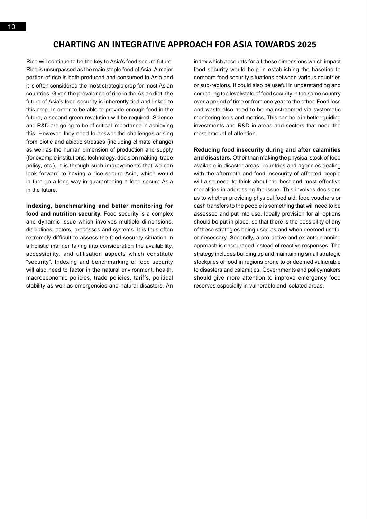# **Charting an Integrative Approach for Asia towards 2025**

Rice will continue to be the key to Asia's food secure future. Rice is unsurpassed as the main staple food of Asia. A major portion of rice is both produced and consumed in Asia and it is often considered the most strategic crop for most Asian countries. Given the prevalence of rice in the Asian diet, the future of Asia's food security is inherently tied and linked to this crop. In order to be able to provide enough food in the future, a second green revolution will be required. Science and R&D are going to be of critical importance in achieving this. However, they need to answer the challenges arising from biotic and abiotic stresses (including climate change) as well as the human dimension of production and supply (for example institutions, technology, decision making, trade policy, etc.). It is through such improvements that we can look forward to having a rice secure Asia, which would in turn go a long way in guaranteeing a food secure Asia in the future.

**Indexing, benchmarking and better monitoring for food and nutrition security.** Food security is a complex and dynamic issue which involves multiple dimensions, disciplines, actors, processes and systems. It is thus often extremely difficult to assess the food security situation in a holistic manner taking into consideration the availability, accessibility, and utilisation aspects which constitute "security". Indexing and benchmarking of food security will also need to factor in the natural environment, health, macroeconomic policies, trade policies, tariffs, political stability as well as emergencies and natural disasters. An index which accounts for all these dimensions which impact food security would help in establishing the baseline to compare food security situations between various countries or sub-regions. It could also be useful in understanding and comparing the level/state of food security in the same country over a period of time or from one year to the other. Food loss and waste also need to be mainstreamed via systematic monitoring tools and metrics. This can help in better guiding investments and R&D in areas and sectors that need the most amount of attention.

**Reducing food insecurity during and after calamities and disasters.** Other than making the physical stock of food available in disaster areas, countries and agencies dealing with the aftermath and food insecurity of affected people will also need to think about the best and most effective modalities in addressing the issue. This involves decisions as to whether providing physical food aid, food vouchers or cash transfers to the people is something that will need to be assessed and put into use. Ideally provision for all options should be put in place, so that there is the possibility of any of these strategies being used as and when deemed useful or necessary. Secondly, a pro-active and ex-ante planning approach is encouraged instead of reactive responses. The strategy includes building up and maintaining small strategic stockpiles of food in regions prone to or deemed vulnerable to disasters and calamities. Governments and policymakers should give more attention to improve emergency food reserves especially in vulnerable and isolated areas.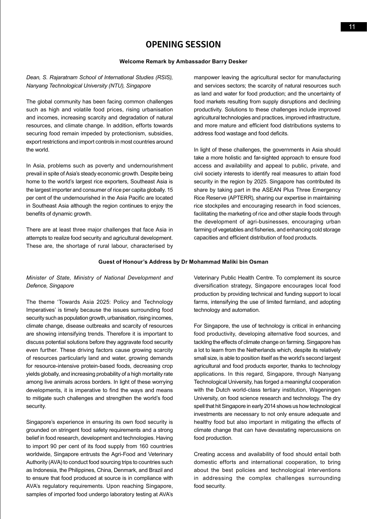# **Opening Session**

#### **Welcome Remark by Ambassador Barry Desker**

*Dean, S. Rajaratnam School of International Studies (RSIS), Nanyang Technological University (NTU), Singapore*

The global community has been facing common challenges such as high and volatile food prices, rising urbanisation and incomes, increasing scarcity and degradation of natural resources, and climate change. In addition, efforts towards securing food remain impeded by protectionism, subsidies, export restrictions and import controls in most countries around the world.

In Asia, problems such as poverty and undernourishment prevail in spite of Asia's steady economic growth. Despite being home to the world's largest rice exporters, Southeast Asia is the largest importer and consumer of rice per capita globally. 15 per cent of the undernourished in the Asia Pacific are located in Southeast Asia although the region continues to enjoy the benefits of dynamic growth.

There are at least three major challenges that face Asia in attempts to realize food security and agricultural development. These are, the shortage of rural labour, characterised by manpower leaving the agricultural sector for manufacturing and services sectors; the scarcity of natural resources such as land and water for food production; and the uncertainty of food markets resulting from supply disruptions and declining productivity. Solutions to these challenges include improved agricultural technologies and practices, improved infrastructure, and more mature and efficient food distributions systems to address food wastage and food deficits.

In light of these challenges, the governments in Asia should take a more holistic and far-sighted approach to ensure food access and availability and appeal to public, private, and civil society interests to identify real measures to attain food security in the region by 2025. Singapore has contributed its share by taking part in the ASEAN Plus Three Emergency Rice Reserve (APTERR), sharing our expertise in maintaining rice stockpiles and encouraging research in food sciences, facilitating the marketing of rice and other staple foods through the development of agri-businesses, encouraging urban farming of vegetables and fisheries, and enhancing cold storage capacities and efficient distribution of food products.

#### **Guest of Honour's Address by Dr Mohammad Maliki bin Osman**

### *Minister of State, Ministry of National Development and Defence, Singapore*

The theme 'Towards Asia 2025: Policy and Technology Imperatives' is timely because the issues surrounding food security such as population growth, urbanisation, rising incomes, climate change, disease outbreaks and scarcity of resources are showing intensifying trends. Therefore it is important to discuss potential solutions before they aggravate food security even further. These driving factors cause growing scarcity of resources particularly land and water, growing demands for resource-intensive protein-based foods, decreasing crop yields globally, and increasing probability of a high mortality rate among live animals across borders. In light of these worrying developments, it is imperative to find the ways and means to mitigate such challenges and strengthen the world's food security.

Singapore's experience in ensuring its own food security is grounded on stringent food safety requirements and a strong belief in food research, development and technologies. Having to import 90 per cent of its food supply from 160 countries worldwide, Singapore entrusts the Agri-Food and Veterinary Authority (AVA) to conduct food sourcing trips to countries such as Indonesia, the Philippines, China, Denmark, and Brazil and to ensure that food produced at source is in compliance with AVA's regulatory requirements. Upon reaching Singapore, samples of imported food undergo laboratory testing at AVA's Veterinary Public Health Centre. To complement its source diversification strategy, Singapore encourages local food production by providing technical and funding support to local farms, intensifying the use of limited farmland, and adopting technology and automation.

For Singapore, the use of technology is critical in enhancing food productivity, developing alternative food sources, and tackling the effects of climate change on farming. Singapore has a lot to learn from the Netherlands which, despite its relatively small size, is able to position itself as the world's second largest agricultural and food products exporter, thanks to technology applications. In this regard, Singapore, through Nanyang Technological University, has forged a meaningful cooperation with the Dutch world-class tertiary institution, Wageningen University, on food science research and technology. The dry spell that hit Singapore in early 2014 shows us how technological investments are necessary to not only ensure adequate and healthy food but also important in mitigating the effects of climate change that can have devastating repercussions on food production.

Creating access and availability of food should entail both domestic efforts and international cooperation, to bring about the best policies and technological interventions in addressing the complex challenges surrounding food security.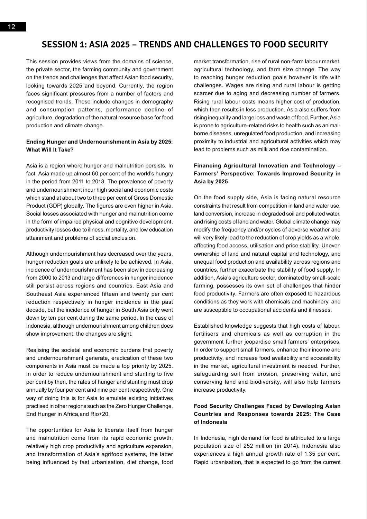# **Session 1: Asia 2025 – Trends and Challenges to Food Security**

This session provides views from the domains of science, the private sector, the farming community and government on the trends and challenges that affect Asian food security, looking towards 2025 and beyond. Currently, the region faces significant pressures from a number of factors and recognised trends. These include changes in demography and consumption patterns, performance decline of agriculture, degradation of the natural resource base for food production and climate change.

#### **Ending Hunger and Undernourishment in Asia by 2025: What Will It Take?**

Asia is a region where hunger and malnutrition persists. In fact, Asia made up almost 60 per cent of the world's hungry in the period from 2011 to 2013. The prevalence of poverty and undernourishment incur high social and economic costs which stand at about two to three per cent of Gross Domestic Product (GDP) globally. The figures are even higher in Asia. Social losses associated with hunger and malnutrition come in the form of impaired physical and cognitive development, productivity losses due to illness, mortality, and low education attainment and problems of social exclusion.

Although undernourishment has decreased over the years, hunger reduction goals are unlikely to be achieved. In Asia, incidence of undernourishment has been slow in decreasing from 2000 to 2013 and large differences in hunger incidence still persist across regions and countries. East Asia and Southeast Asia experienced fifteen and twenty per cent reduction respectively in hunger incidence in the past decade, but the incidence of hunger in South Asia only went down by ten per cent during the same period. In the case of Indonesia, although undernourishment among children does show improvement, the changes are slight.

Realising the societal and economic burdens that poverty and undernourishment generate, eradication of these two components in Asia must be made a top priority by 2025. In order to reduce undernourishment and stunting to five per cent by then, the rates of hunger and stunting must drop annually by four per cent and nine per cent respectively. One way of doing this is for Asia to emulate existing initiatives practised in other regions such as the Zero Hunger Challenge, End Hunger in Africa,and Rio+20.

The opportunities for Asia to liberate itself from hunger and malnutrition come from its rapid economic growth, relatively high crop productivity and agriculture expansion, and transformation of Asia's agrifood systems, the latter being influenced by fast urbanisation, diet change, food market transformation, rise of rural non-farm labour market, agricultural technology, and farm size change. The way to reaching hunger reduction goals however is rife with challenges. Wages are rising and rural labour is getting scarcer due to aging and decreasing number of farmers. Rising rural labour costs means higher cost of production, which then results in less production. Asia also suffers from rising inequality and large loss and waste of food. Further, Asia is prone to agriculture-related risks to health such as animalborne diseases, unregulated food production, and increasing proximity to industrial and agricultural activities which may lead to problems such as milk and rice contamination.

### **Financing Agricultural Innovation and Technology – Farmers' Perspective: Towards Improved Security in Asia by 2025**

On the food supply side, Asia is facing natural resource constraints that result from competition in land and water use, land conversion, increase in degraded soil and polluted water, and rising costs of land and water. Global climate change may modify the frequency and/or cycles of adverse weather and will very likely lead to the reduction of crop yields as a whole, affecting food access, utilisation and price stability. Uneven ownership of land and natural capital and technology, and unequal food production and availability across regions and countries, further exacerbate the stability of food supply. In addition, Asia's agriculture sector, dominated by small-scale farming, possesses its own set of challenges that hinder food productivity. Farmers are often exposed to hazardous conditions as they work with chemicals and machinery, and are susceptible to occupational accidents and illnesses.

Established knowledge suggests that high costs of labour, fertilisers and chemicals as well as corruption in the government further jeopardise small farmers' enterprises. In order to support small farmers, enhance their income and productivity, and increase food availability and accessibility in the market, agricultural investment is needed. Further, safeguarding soil from erosion, preserving water, and conserving land and biodiversity, will also help farmers increase productivity.

### **Food Security Challenges Faced by Developing Asian Countries and Responses towards 2025: The Case of Indonesia**

In Indonesia, high demand for food is attributed to a large population size of 252 million (in 2014). Indonesia also experiences a high annual growth rate of 1.35 per cent. Rapid urbanisation, that is expected to go from the current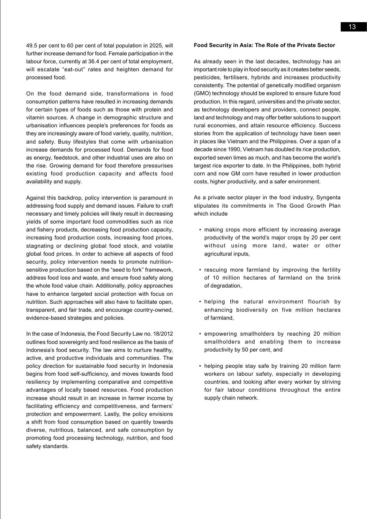49.5 per cent to 60 per cent of total population in 2025, will further increase demand for food. Female participation in the labour force, currently at 36.4 per cent of total employment, will escalate "eat-out" rates and heighten demand for processed food.

On the food demand side, transformations in food consumption patterns have resulted in increasing demands for certain types of foods such as those with protein and vitamin sources. A change in demographic structure and urbanisation influences people's preferences for foods as they are increasingly aware of food variety, quality, nutrition, and safety. Busy lifestyles that come with urbanisation increase demands for processed food. Demands for food as energy, feedstock, and other industrial uses are also on the rise. Growing demand for food therefore pressurises existing food production capacity and affects food availability and supply.

Against this backdrop, policy intervention is paramount in addressing food supply and demand issues. Failure to craft necessary and timely policies will likely result in decreasing yields of some important food commodities such as rice and fishery products, decreasing food production capacity, increasing food production costs, increasing food prices, stagnating or declining global food stock, and volatile global food prices. In order to achieve all aspects of food security, policy intervention needs to promote nutritionsensitive production based on the "seed to fork" framework, address food loss and waste, and ensure food safety along the whole food value chain. Additionally, policy approaches have to enhance targeted social protection with focus on nutrition. Such approaches will also have to facilitate open, transparent, and fair trade, and encourage country-owned, evidence-based strategies and policies.

In the case of Indonesia, the Food Security Law no. 18/2012 outlines food sovereignty and food resilience as the basis of Indonesia's food security. The law aims to nurture healthy, active, and productive individuals and communities. The policy direction for sustainable food security in Indonesia begins from food self-sufficiency, and moves towards food resiliency by implementing comparative and competitive advantages of locally based resources. Food production increase should result in an increase in farmer income by facilitating efficiency and competitiveness, and farmers' protection and empowerment. Lastly, the policy envisions a shift from food consumption based on quantity towards diverse, nutritious, balanced, and safe consumption by promoting food processing technology, nutrition, and food safety standards.

#### **Food Security in Asia: The Role of the Private Sector**

As already seen in the last decades, technology has an important role to play in food security as it creates better seeds, pesticides, fertilisers, hybrids and increases productivity consistently. The potential of genetically modified organism (GMO) technology should be explored to ensure future food production. In this regard, universities and the private sector, as technology developers and providers, connect people, land and technology and may offer better solutions to support rural economies, and attain resource efficiency. Success stories from the application of technology have been seen in places like Vietnam and the Philippines. Over a span of a decade since 1990, Vietnam has doubled its rice production, exported seven times as much, and has become the world's largest rice exporter to date. In the Philippines, both hybrid corn and now GM corn have resulted in lower production costs, higher productivity, and a safer environment.

As a private sector player in the food industry, Syngenta stipulates its commitments in The Good Growth Plan which include

- making crops more efficient by increasing average productivity of the world's major crops by 20 per cent without using more land, water or other agricultural inputs,
- rescuing more farmland by improving the fertility of 10 million hectares of farmland on the brink of degradation,
- • helping the natural environment flourish by enhancing biodiversity on five million hectares of farmland,
- empowering smallholders by reaching 20 million smallholders and enabling them to increase productivity by 50 per cent, and
- helping people stay safe by training 20 million farm workers on labour safety, especially in developing countries, and looking after every worker by striving for fair labour conditions throughout the entire supply chain network.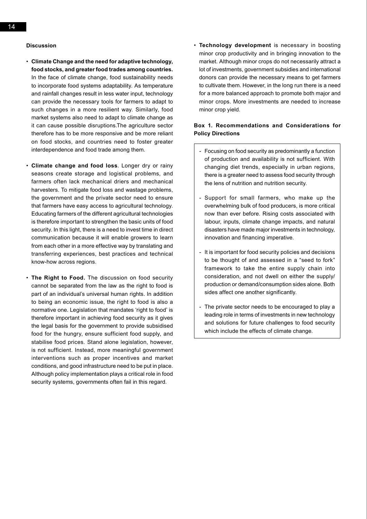14

### **Discussion**

- • **Climate Change and the need for adaptive technology, food stocks, and greater food trades among countries.**  In the face of climate change, food sustainability needs to incorporate food systems adaptability. As temperature and rainfall changes result in less water input, technology can provide the necessary tools for farmers to adapt to such changes in a more resilient way. Similarly, food market systems also need to adapt to climate change as it can cause possible disruptions.The agriculture sector therefore has to be more responsive and be more reliant on food stocks, and countries need to foster greater interdependence and food trade among them.
- • **Climate change and food loss**. Longer dry or rainy seasons create storage and logistical problems, and farmers often lack mechanical driers and mechanical harvesters. To mitigate food loss and wastage problems, the government and the private sector need to ensure that farmers have easy access to agricultural technology. Educating farmers of the different agricultural technologies is therefore important to strengthen the basic units of food security. In this light, there is a need to invest time in direct communication because it will enable growers to learn from each other in a more effective way by translating and transferring experiences, best practices and technical know-how across regions.
- • **The Right to Food.** The discussion on food security cannot be separated from the law as the right to food is part of an individual's universal human rights. In addition to being an economic issue, the right to food is also a normative one. Legislation that mandates 'right to food' is therefore important in achieving food security as it gives the legal basis for the government to provide subsidised food for the hungry, ensure sufficient food supply, and stabilise food prices. Stand alone legislation, however, is not sufficient. Instead, more meaningful government interventions such as proper incentives and market conditions, and good infrastructure need to be put in place. Although policy implementation plays a critical role in food security systems, governments often fail in this regard.

• **Technology development** is necessary in boosting minor crop productivity and in bringing innovation to the market. Although minor crops do not necessarily attract a lot of investments, government subsidies and international donors can provide the necessary means to get farmers to cultivate them. However, in the long run there is a need for a more balanced approach to promote both major and minor crops. More investments are needed to increase minor crop yield.

### **Box 1. Recommendations and Considerations for Policy Directions**

- Focusing on food security as predominantly a function of production and availability is not sufficient. With changing diet trends, especially in urban regions, there is a greater need to assess food security through the lens of nutrition and nutrition security.
- Support for small farmers, who make up the overwhelming bulk of food producers, is more critical now than ever before. Rising costs associated with labour, inputs, climate change impacts, and natural disasters have made major investments in technology, innovation and financing imperative.
- It is important for food security policies and decisions to be thought of and assessed in a "seed to fork" framework to take the entire supply chain into consideration, and not dwell on either the supply/ production or demand/consumption sides alone. Both sides affect one another significantly.
- The private sector needs to be encouraged to play a leading role in terms of investments in new technology and solutions for future challenges to food security which include the effects of climate change.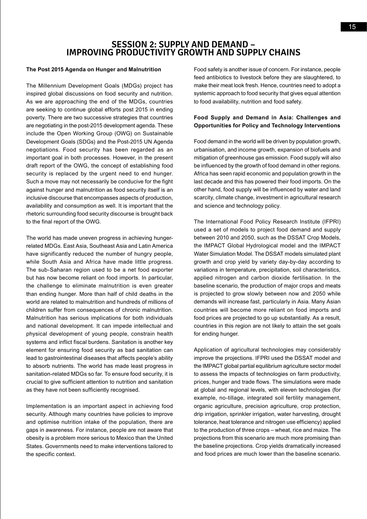# **Session 2: Supply and Demand – IMPROVING PRODUCTIVITY GROWTH AND SUPPLY CH**

#### **The Post 2015 Agenda on Hunger and Malnutrition**

The Millennium Development Goals (MDGs) project has inspired global discussions on food security and nutrition. As we are approaching the end of the MDGs, countries are seeking to continue global efforts post 2015 in ending poverty. There are two successive strategies that countries are negotiating in the post-2015 development agenda. These include the Open Working Group (OWG) on Sustainable Development Goals (SDGs) and the Post-2015 UN Agenda negotiations. Food security has been regarded as an important goal in both processes. However, in the present draft report of the OWG, the concept of establishing food security is replaced by the urgent need to end hunger. Such a move may not necessarily be conducive for the fight against hunger and malnutrition as food security itself is an inclusive discourse that encompasses aspects of production, availability and consumption as well. It is important that the rhetoric surrounding food security discourse is brought back to the final report of the OWG.

The world has made uneven progress in achieving hungerrelated MDGs. East Asia, Southeast Asia and Latin America have significantly reduced the number of hungry people, while South Asia and Africa have made little progress. The sub-Saharan region used to be a net food exporter but has now become reliant on food imports. In particular, the challenge to eliminate malnutrition is even greater than ending hunger. More than half of child deaths in the world are related to malnutrition and hundreds of millions of children suffer from consequences of chronic malnutrition. Malnutrition has serious implications for both individuals and national development. It can impede intellectual and physical development of young people, constrain health systems and inflict fiscal burdens. Sanitation is another key element for ensuring food security as bad sanitation can lead to gastrointestinal diseases that affects people's ability to absorb nutrients. The world has made least progress in sanitation-related MDGs so far. To ensure food security, it is crucial to give sufficient attention to nutrition and sanitation as they have not been sufficiently recognised.

Implementation is an important aspect in achieving food security. Although many countries have policies to improve and optimise nutrition intake of the population, there are gaps in awareness. For instance, people are not aware that obesity is a problem more serious to Mexico than the United States. Governments need to make interventions tailored to the specific context.

Food safety is another issue of concern. For instance, people feed antibiotics to livestock before they are slaughtered, to make their meat look fresh. Hence, countries need to adopt a systemic approach to food security that gives equal attention to food availability, nutrition and food safety.

## **Food Supply and Demand in Asia: Challenges and Opportunities for Policy and Technology Interventions**

Food demand in the world will be driven by population growth, urbanisation, and income growth, expansion of biofuels and mitigation of greenhouse gas emission. Food supply will also be influenced by the growth of food demand in other regions. Africa has seen rapid economic and population growth in the last decade and this has powered their food imports. On the other hand, food supply will be influenced by water and land scarcity, climate change, investment in agricultural research and science and technology policy.

The International Food Policy Research Institute (IFPRI) used a set of models to project food demand and supply between 2010 and 2050, such as the DSSAT Crop Models, the IMPACT Global Hydrological model and the IMPACT Water Simulation Model. The DSSAT models simulated plant growth and crop yield by variety day-by-day according to variations in temperature, precipitation, soil characteristics, applied nitrogen and carbon dioxide fertilisation. In the baseline scenario, the production of major crops and meats is projected to grow slowly between now and 2050 while demands will increase fast, particularly in Asia. Many Asian countries will become more reliant on food imports and food prices are projected to go up substantially. As a result, countries in this region are not likely to attain the set goals for ending hunger.

Application of agricultural technologies may considerably improve the projections. IFPRI used the DSSAT model and the IMPACT global partial equilibrium agriculture sector model to assess the impacts of technologies on farm productivity, prices, hunger and trade flows. The simulations were made at global and regional levels, with eleven technologies (for example, no-tillage, integrated soil fertility management, organic agriculture, precision agriculture, crop protection, drip irrigation, sprinkler irrigation, water harvesting, drought tolerance, heat tolerance and nitrogen use efficiency) applied to the production of three crops – wheat, rice and maize. The projections from this scenario are much more promising than the baseline projections. Crop yields dramatically increased and food prices are much lower than the baseline scenario.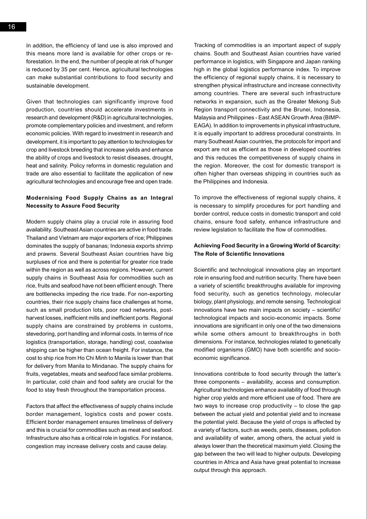In addition, the efficiency of land use is also improved and this means more land is available for other crops or reforestation. In the end, the number of people at risk of hunger is reduced by 35 per cent. Hence, agricultural technologies can make substantial contributions to food security and sustainable development.

Given that technologies can significantly improve food production, countries should accelerate investments in research and development (R&D) in agricultural technologies, promote complementary policies and investment, and reform economic policies. With regard to investment in research and development, it is important to pay attention to technologies for crop and livestock breeding that increase yields and enhance the ability of crops and livestock to resist diseases, drought, heat and salinity. Policy reforms in domestic regulation and trade are also essential to facilitate the application of new agricultural technologies and encourage free and open trade.

### **Modernising Food Supply Chains as an Integral Necessity to Assure Food Security**

Modern supply chains play a crucial role in assuring food availability. Southeast Asian countries are active in food trade. Thailand and Vietnam are major exporters of rice; Philippines dominates the supply of bananas; Indonesia exports shrimp and prawns. Several Southeast Asian countries have big surpluses of rice and there is potential for greater rice trade within the region as well as across regions. However, current supply chains in Southeast Asia for commodities such as rice, fruits and seafood have not been efficient enough. There are bottlenecks impeding the rice trade. For non-exporting countries, their rice supply chains face challenges at home, such as small production lots, poor road networks, postharvest losses, inefficient mills and inefficient ports. Regional supply chains are constrained by problems in customs, stevedoring, port handling and informal costs. In terms of rice logistics (transportation, storage, handling) cost, coastwise shipping can be higher than ocean freight. For instance, the cost to ship rice from Ho Chi Minh to Manila is lower than that for delivery from Manila to Mindanao. The supply chains for fruits, vegetables, meats and seafood face similar problems. In particular, cold chain and food safety are crucial for the food to stay fresh throughout the transportation process.

Factors that affect the effectiveness of supply chains include border management, logistics costs and power costs. Efficient border management ensures timeliness of delivery and this is crucial for commodities such as meat and seafood. Infrastructure also has a critical role in logistics. For instance, congestion may increase delivery costs and cause delay.

Tracking of commodities is an important aspect of supply chains. South and Southeast Asian countries have varied performance in logistics, with Singapore and Japan ranking high in the global logistics performance index. To improve the efficiency of regional supply chains, it is necessary to strengthen physical infrastructure and increase connectivity among countries. There are several such infrastructure networks in expansion, such as the Greater Mekong Sub Region transport connectivity and the Brunei, Indonesia, Malaysia and Philippines - East ASEAN Growth Area (BIMP-EAGA). In addition to improvements in physical infrastructure, it is equally important to address procedural constraints. In many Southeast Asian countries, the protocols for import and export are not as efficient as those in developed countries and this reduces the competitiveness of supply chains in the region. Moreover, the cost for domestic transport is often higher than overseas shipping in countries such as the Philippines and Indonesia.

To improve the effectiveness of regional supply chains, it is necessary to simplify procedures for port handling and border control, reduce costs in domestic transport and cold chains, ensure food safety, enhance infrastructure and review legislation to facilitate the flow of commodities.

#### **Achieving Food Security in a Growing World of Scarcity: The Role of Scientific Innovations**

Scientific and technological innovations play an important role in ensuring food and nutrition security. There have been a variety of scientific breakthroughs available for improving food security, such as genetics technology, molecular biology, plant physiology, and remote sensing. Technological innovations have two main impacts on society – scientific/ technological impacts and socio-economic impacts. Some innovations are significant in only one of the two dimensions while some others amount to breakthroughs in both dimensions. For instance, technologies related to genetically modified organisms (GMO) have both scientific and socioeconomic significance.

Innovations contribute to food security through the latter's three components – availability, access and consumption. Agricultural technologies enhance availability of food through higher crop yields and more efficient use of food. There are two ways to increase crop productivity – to close the gap between the actual yield and potential yield and to increase the potential yield. Because the yield of crops is affected by a variety of factors, such as weeds, pests, diseases, pollution and availability of water, among others, the actual yield is always lower than the theoretical maximum yield. Closing the gap between the two will lead to higher outputs. Developing countries in Africa and Asia have great potential to increase output through this approach.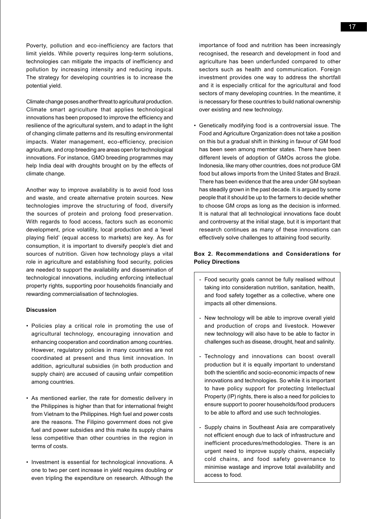Poverty, pollution and eco-inefficiency are factors that limit yields. While poverty requires long-term solutions, technologies can mitigate the impacts of inefficiency and pollution by increasing intensity and reducing inputs. The strategy for developing countries is to increase the potential yield.

Climate change poses another threat to agricultural production. Climate smart agriculture that applies technological innovations has been proposed to improve the efficiency and resilience of the agricultural system, and to adapt in the light of changing climate patterns and its resulting environmental impacts. Water management, eco-efficiency, precision agriculture, and crop breeding are areas open for technological innovations. For instance, GMO breeding programmes may help India deal with droughts brought on by the effects of climate change.

Another way to improve availability is to avoid food loss and waste, and create alternative protein sources. New technologies improve the structuring of food, diversify the sources of protein and prolong food preservation. With regards to food access, factors such as economic development, price volatility, local production and a 'level playing field' (equal access to markets) are key. As for consumption, it is important to diversify people's diet and sources of nutrition. Given how technology plays a vital role in agriculture and establishing food security, policies are needed to support the availability and dissemination of technological innovations, including enforcing intellectual property rights, supporting poor households financially and rewarding commercialisation of technologies.

#### **Discussion**

- • Policies play a critical role in promoting the use of agricultural technology, encouraging innovation and enhancing cooperation and coordination among countries. However, regulatory policies in many countries are not coordinated at present and thus limit innovation. In addition, agricultural subsidies (in both production and supply chain) are accused of causing unfair competition among countries.
- • As mentioned earlier, the rate for domestic delivery in the Philippines is higher than that for international freight from Vietnam to the Philippines. High fuel and power costs are the reasons. The Filipino government does not give fuel and power subsidies and this make its supply chains less competitive than other countries in the region in terms of costs.
- • Investment is essential for technological innovations. A one to two per cent increase in yield requires doubling or even tripling the expenditure on research. Although the

importance of food and nutrition has been increasingly recognised, the research and development in food and agriculture has been underfunded compared to other sectors such as health and communication. Foreign investment provides one way to address the shortfall and it is especially critical for the agricultural and food sectors of many developing countries. In the meantime, it is necessary for these countries to build national ownership over existing and new technology.

• Genetically modifying food is a controversial issue. The Food and Agriculture Organization does not take a position on this but a gradual shift in thinking in favour of GM food has been seen among member states. There have been different levels of adoption of GMOs across the globe. Indonesia, like many other countries, does not produce GM food but allows imports from the United States and Brazil. There has been evidence that the area under GM soybean has steadily grown in the past decade. It is argued by some people that it should be up to the farmers to decide whether to choose GM crops as long as the decision is informed. It is natural that all technological innovations face doubt and controversy at the initial stage, but it is important that research continues as many of these innovations can effectively solve challenges to attaining food security.

## **Box 2. Recommendations and Considerations for Policy Directions**

- Food security goals cannot be fully realised without taking into consideration nutrition, sanitation, health, and food safety together as a collective, where one impacts all other dimensions.
- New technology will be able to improve overall yield and production of crops and livestock. However new technology will also have to be able to factor in challenges such as disease, drought, heat and salinity.
- Technology and innovations can boost overall production but it is equally important to understand both the scientific and socio-economic impacts of new innovations and technologies. So while it is important to have policy support for protecting Intellectual Property (IP) rights, there is also a need for policies to ensure support to poorer households/food producers to be able to afford and use such technologies.
- Supply chains in Southeast Asia are comparatively not efficient enough due to lack of infrastructure and inefficient procedures/methodologies. There is an urgent need to improve supply chains, especially cold chains, and food safety governance to minimise wastage and improve total availability and access to food.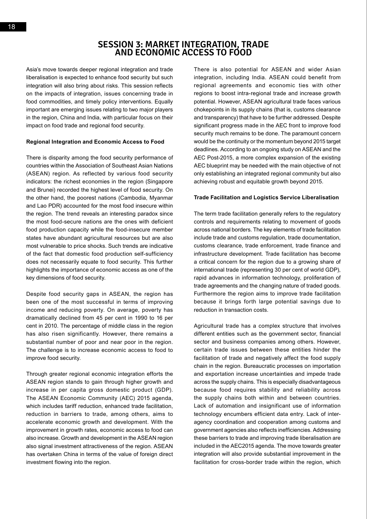Asia's move towards deeper regional integration and trade liberalisation is expected to enhance food security but such integration will also bring about risks. This session reflects on the impacts of integration, issues concerning trade in food commodities, and timely policy interventions. Equally important are emerging issues relating to two major players in the region, China and India, with particular focus on their impact on food trade and regional food security.

#### **Regional Integration and Economic Access to Food**

There is disparity among the food security performance of countries within the Association of Southeast Asian Nations (ASEAN) region. As reflected by various food security indicators: the richest economies in the region (Singapore and Brunei) recorded the highest level of food security. On the other hand, the poorest nations (Cambodia, Myanmar and Lao PDR) accounted for the most food insecure within the region. The trend reveals an interesting paradox since the most food-secure nations are the ones with deficient food production capacity while the food-insecure member states have abundant agricultural resources but are also most vulnerable to price shocks. Such trends are indicative of the fact that domestic food production self-sufficiency does not necessarily equate to food security. This further highlights the importance of economic access as one of the key dimensions of food security.

Despite food security gaps in ASEAN, the region has been one of the most successful in terms of improving income and reducing poverty. On average, poverty has dramatically declined from 45 per cent in 1990 to 16 per cent in 2010. The percentage of middle class in the region has also risen significantly. However, there remains a substantial number of poor and near poor in the region. The challenge is to increase economic access to food to improve food security.

Through greater regional economic integration efforts the ASEAN region stands to gain through higher growth and increase in per capita gross domestic product (GDP). The ASEAN Economic Community (AEC) 2015 agenda, which includes tariff reduction, enhanced trade facilitation, reduction in barriers to trade, among others, aims to accelerate economic growth and development. With the improvement in growth rates, economic access to food can also increase. Growth and development in the ASEAN region also signal investment attractiveness of the region. ASEAN has overtaken China in terms of the value of foreign direct investment flowing into the region.

There is also potential for ASEAN and wider Asian integration, including India. ASEAN could benefit from regional agreements and economic ties with other regions to boost intra-regional trade and increase growth potential. However, ASEAN agricultural trade faces various chokepoints in its supply chains (that is, customs clearance and transparency) that have to be further addressed. Despite significant progress made in the AEC front to improve food security much remains to be done. The paramount concern would be the continuity or the momentum beyond 2015 target deadlines. According to an ongoing study on ASEAN and the AEC Post-2015, a more complex expansion of the existing AEC blueprint may be needed with the main objective of not only establishing an integrated regional community but also achieving robust and equitable growth beyond 2015.

#### **Trade Facilitation and Logistics Service Liberalisation**

The term trade facilitation generally refers to the regulatory controls and requirements relating to movement of goods across national borders. The key elements of trade facilitation include trade and customs regulation, trade documentation, customs clearance, trade enforcement, trade finance and infrastructure development. Trade facilitation has become a critical concern for the region due to a growing share of international trade (representing 30 per cent of world GDP), rapid advances in information technology, proliferation of trade agreements and the changing nature of traded goods. Furthermore the region aims to improve trade facilitation because it brings forth large potential savings due to reduction in transaction costs.

Agricultural trade has a complex structure that involves different entities such as the government sector, financial sector and business companies among others. However, certain trade issues between these entities hinder the facilitation of trade and negatively affect the food supply chain in the region. Bureaucratic processes on importation and exportation increase uncertainties and impede trade across the supply chains. This is especially disadvantageous because food requires stability and reliability across the supply chains both within and between countries. Lack of automation and insignificant use of information technology encumbers efficient data entry. Lack of interagency coordination and cooperation among customs and government agencies also reflects inefficiencies. Addressing these barriers to trade and improving trade liberalisation are included in the AEC2015 agenda. The move towards greater integration will also provide substantial improvement in the facilitation for cross-border trade within the region, which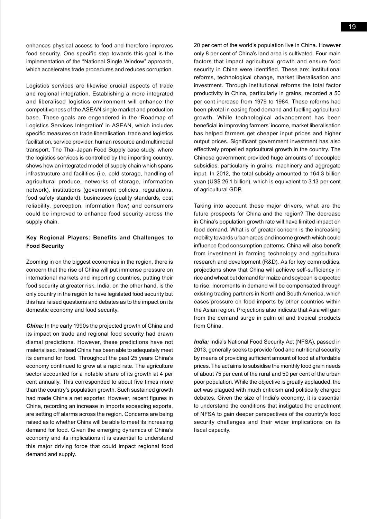enhances physical access to food and therefore improves food security. One specific step towards this goal is the implementation of the "National Single Window" approach, which accelerates trade procedures and reduces corruption.

Logistics services are likewise crucial aspects of trade and regional integration. Establishing a more integrated and liberalised logistics environment will enhance the competitiveness of the ASEAN single market and production base. These goals are engendered in the 'Roadmap of Logistics Services Integration' in ASEAN, which includes specific measures on trade liberalisation, trade and logistics facilitation, service provider, human resource and multimodal transport. The Thai-Japan Food Supply case study, where the logistics services is controlled by the importing country, shows how an integrated model of supply chain which spans infrastructure and facilities (i.e. cold storage, handling of agricultural produce, networks of storage, information network), institutions (government policies, regulations, food safety standard), businesses (quality standards, cost reliability, perception, information flow) and consumers could be improved to enhance food security across the supply chain.

### **Key Regional Players: Benefits and Challenges to Food Security**

Zooming in on the biggest economies in the region, there is concern that the rise of China will put immense pressure on international markets and importing countries, putting their food security at greater risk. India, on the other hand, is the only country in the region to have legislated food security but this has raised questions and debates as to the impact on its domestic economy and food security.

*China:* In the early 1990s the projected growth of China and its impact on trade and regional food security had drawn dismal predictions. However, these predictions have not materialised. Instead China has been able to adequately meet its demand for food. Throughout the past 25 years China's economy continued to grow at a rapid rate. The agriculture sector accounted for a notable share of its growth at 4 per cent annually. This corresponded to about five times more than the country's population growth. Such sustained growth had made China a net exporter. However, recent figures in China, recording an increase in imports exceeding exports, are setting off alarms across the region. Concerns are being raised as to whether China will be able to meet its increasing demand for food. Given the emerging dynamics of China's economy and its implications it is essential to understand this major driving force that could impact regional food demand and supply.

20 per cent of the world's population live in China. However only 8 per cent of China's land area is cultivated. Four main factors that impact agricultural growth and ensure food security in China were identified. These are: institutional reforms, technological change, market liberalisation and investment. Through institutional reforms the total factor productivity in China, particularly in grains, recorded a 50 per cent increase from 1979 to 1984. These reforms had been pivotal in easing food demand and fuelling agricultural growth. While technological advancement has been beneficial in improving farmers' income, market liberalisation has helped farmers get cheaper input prices and higher output prices. Significant government investment has also effectively propelled agricultural growth in the country. The Chinese government provided huge amounts of decoupled subsidies, particularly in grains, machinery and aggregate input. In 2012, the total subsidy amounted to 164.3 billion yuan (US\$ 26.1 billion), which is equivalent to 3.13 per cent of agricultural GDP.

Taking into account these major drivers, what are the future prospects for China and the region? The decrease in China's population growth rate will have limited impact on food demand. What is of greater concern is the increasing mobility towards urban areas and income growth which could influence food consumption patterns. China will also benefit from investment in farming technology and agricultural research and development (R&D). As for key commodities, projections show that China will achieve self-sufficiency in rice and wheat but demand for maize and soybean is expected to rise. Increments in demand will be compensated through existing trading partners in North and South America, which eases pressure on food imports by other countries within the Asian region. Projections also indicate that Asia will gain from the demand surge in palm oil and tropical products from China.

*India:* India's National Food Security Act (NFSA), passed in 2013, generally seeks to provide food and nutritional security by means of providing sufficient amount of food at affordable prices. The act aims to subsidise the monthly food grain needs of about 75 per cent of the rural and 50 per cent of the urban poor population. While the objective is greatly applauded, the act was plagued with much criticism and politically charged debates. Given the size of India's economy, it is essential to understand the conditions that instigated the enactment of NFSA to gain deeper perspectives of the country's food security challenges and their wider implications on its fiscal capacity.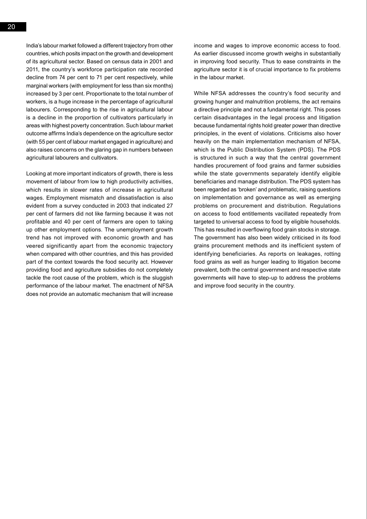India's labour market followed a different trajectory from other countries, which posits impact on the growth and development of its agricultural sector. Based on census data in 2001 and 2011, the country's workforce participation rate recorded decline from 74 per cent to 71 per cent respectively, while marginal workers (with employment for less than six months) increased by 3 per cent. Proportionate to the total number of workers, is a huge increase in the percentage of agricultural labourers. Corresponding to the rise in agricultural labour is a decline in the proportion of cultivators particularly in areas with highest poverty concentration. Such labour market outcome affirms India's dependence on the agriculture sector (with 55 per cent of labour market engaged in agriculture) and also raises concerns on the glaring gap in numbers between agricultural labourers and cultivators.

Looking at more important indicators of growth, there is less movement of labour from low to high productivity activities. which results in slower rates of increase in agricultural wages. Employment mismatch and dissatisfaction is also evident from a survey conducted in 2003 that indicated 27 per cent of farmers did not like farming because it was not profitable and 40 per cent of farmers are open to taking up other employment options. The unemployment growth trend has not improved with economic growth and has veered significantly apart from the economic trajectory when compared with other countries, and this has provided part of the context towards the food security act. However providing food and agriculture subsidies do not completely tackle the root cause of the problem, which is the sluggish performance of the labour market. The enactment of NFSA does not provide an automatic mechanism that will increase

income and wages to improve economic access to food. As earlier discussed income growth weighs in substantially in improving food security. Thus to ease constraints in the agriculture sector it is of crucial importance to fix problems in the labour market.

While NFSA addresses the country's food security and growing hunger and malnutrition problems, the act remains a directive principle and not a fundamental right. This poses certain disadvantages in the legal process and litigation because fundamental rights hold greater power than directive principles, in the event of violations. Criticisms also hover heavily on the main implementation mechanism of NFSA, which is the Public Distribution System (PDS). The PDS is structured in such a way that the central government handles procurement of food grains and farmer subsidies while the state governments separately identify eligible beneficiaries and manage distribution. The PDS system has been regarded as 'broken' and problematic, raising questions on implementation and governance as well as emerging problems on procurement and distribution. Regulations on access to food entitlements vacillated repeatedly from targeted to universal access to food by eligible households. This has resulted in overflowing food grain stocks in storage. The government has also been widely criticised in its food grains procurement methods and its inefficient system of identifying beneficiaries. As reports on leakages, rotting food grains as well as hunger leading to litigation become prevalent, both the central government and respective state governments will have to step-up to address the problems and improve food security in the country.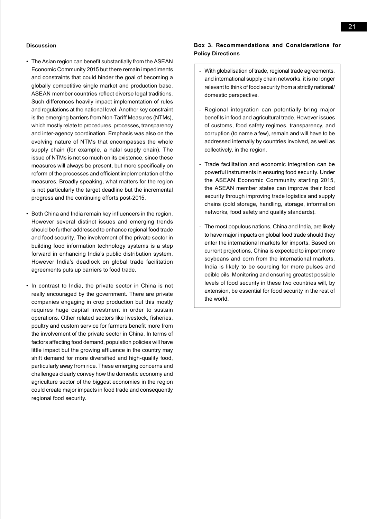#### **Discussion**

- The Asian region can benefit substantially from the ASEAN Economic Community 2015 but there remain impediments and constraints that could hinder the goal of becoming a globally competitive single market and production base. ASEAN member countries reflect diverse legal traditions. Such differences heavily impact implementation of rules and regulations at the national level. Another key constraint is the emerging barriers from Non-Tariff Measures (NTMs), which mostly relate to procedures, processes, transparency and inter-agency coordination. Emphasis was also on the evolving nature of NTMs that encompasses the whole supply chain (for example, a halal supply chain). The issue of NTMs is not so much on its existence, since these measures will always be present, but more specifically on reform of the processes and efficient implementation of the measures. Broadly speaking, what matters for the region is not particularly the target deadline but the incremental progress and the continuing efforts post-2015.
- Both China and India remain key influencers in the region. However several distinct issues and emerging trends should be further addressed to enhance regional food trade and food security. The involvement of the private sector in building food information technology systems is a step forward in enhancing India's public distribution system. However India's deadlock on global trade facilitation agreements puts up barriers to food trade.
- In contrast to India, the private sector in China is not really encouraged by the government. There are private companies engaging in crop production but this mostly requires huge capital investment in order to sustain operations. Other related sectors like livestock, fisheries, poultry and custom service for farmers benefit more from the involvement of the private sector in China. In terms of factors affecting food demand, population policies will have little impact but the growing affluence in the country may shift demand for more diversified and high-quality food, particularly away from rice. These emerging concerns and challenges clearly convey how the domestic economy and agriculture sector of the biggest economies in the region could create major impacts in food trade and consequently regional food security.

### **Box 3. Recommendations and Considerations for Policy Directions**

- With globalisation of trade, regional trade agreements, and international supply chain networks, it is no longer relevant to think of food security from a strictly national/ domestic perspective.
- Regional integration can potentially bring major benefits in food and agricultural trade. However issues of customs, food safety regimes, transparency, and corruption (to name a few), remain and will have to be addressed internally by countries involved, as well as collectively, in the region.
- Trade facilitation and economic integration can be powerful instruments in ensuring food security. Under the ASEAN Economic Community starting 2015, the ASEAN member states can improve their food security through improving trade logistics and supply chains (cold storage, handling, storage, information networks, food safety and quality standards).
- The most populous nations, China and India, are likely to have major impacts on global food trade should they enter the international markets for imports. Based on current projections, China is expected to import more soybeans and corn from the international markets. India is likely to be sourcing for more pulses and edible oils. Monitoring and ensuring greatest possible levels of food security in these two countries will, by extension, be essential for food security in the rest of the world.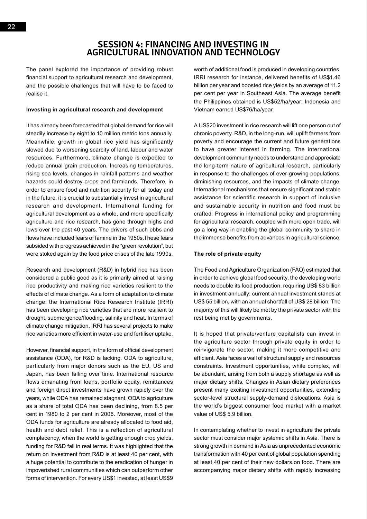## **Session 4: Financing and Investing In Agricultural Innovation and Technology**

The panel explored the importance of providing robust financial support to agricultural research and development, and the possible challenges that will have to be faced to realise it.

#### **Investing in agricultural research and development**

It has already been forecasted that global demand for rice will steadily increase by eight to 10 million metric tons annually. Meanwhile, growth in global rice yield has significantly slowed due to worsening scarcity of land, labour and water resources. Furthermore, climate change is expected to reduce annual grain production. Increasing temperatures, rising sea levels, changes in rainfall patterns and weather hazards could destroy crops and farmlands. Therefore, in order to ensure food and nutrition security for all today and in the future, it is crucial to substantially invest in agricultural research and development. International funding for agricultural development as a whole, and more specifically agriculture and rice research, has gone through highs and lows over the past 40 years. The drivers of such ebbs and flows have included fears of famine in the 1950s.These fears subsided with progress achieved in the "green revolution", but were stoked again by the food price crises of the late 1990s.

Research and development (R&D) in hybrid rice has been considered a public good as it is primarily aimed at raising rice productivity and making rice varieties resilient to the effects of climate change. As a form of adaptation to climate change, the International Rice Research Institute (IRRI) has been developing rice varieties that are more resilient to drought, submergence/flooding, salinity and heat. In terms of climate change mitigation, IRRI has several projects to make rice varieties more efficient in water-use and fertiliser uptake.

However, financial support, in the form of official development assistance (ODA), for R&D is lacking. ODA to agriculture, particularly from major donors such as the EU, US and Japan, has been falling over time. International resource flows emanating from loans, portfolio equity, remittances and foreign direct investments have grown rapidly over the years, while ODA has remained stagnant. ODA to agriculture as a share of total ODA has been declining, from 8.5 per cent in 1980 to 2 per cent in 2006. Moreover, most of the ODA funds for agriculture are already allocated to food aid, health and debt relief. This is a reflection of agricultural complacency, when the world is getting enough crop yields, funding for R&D fall in real terms. It was highlighted that the return on investment from R&D is at least 40 per cent, with a huge potential to contribute to the eradication of hunger in impoverished rural communities which can outperform other forms of intervention. For every US\$1 invested, at least US\$9 worth of additional food is produced in developing countries. IRRI research for instance, delivered benefits of US\$1.46 billion per year and boosted rice yields by an average of 11.2 per cent per year in Southeast Asia. The average benefit the Philippines obtained is US\$52/ha/year; Indonesia and Vietnam earned US\$76/ha/year.

A US\$20 investment in rice research will lift one person out of chronic poverty. R&D, in the long-run, will uplift farmers from poverty and encourage the current and future generations to have greater interest in farming. The international development community needs to understand and appreciate the long-term nature of agricultural research, particularly in response to the challenges of ever-growing populations, diminishing resources, and the impacts of climate change. International mechanisms that ensure significant and stable assistance for scientific research in support of inclusive and sustainable security in nutrition and food must be crafted. Progress in international policy and programming for agricultural research, coupled with more open trade, will go a long way in enabling the global community to share in the immense benefits from advances in agricultural science.

#### **The role of private equity**

The Food and Agriculture Organization (FAO) estimated that in order to achieve global food security, the developing world needs to double its food production, requiring US\$ 83 billion in investment annually; current annual investment stands at US\$ 55 billion, with an annual shortfall of US\$ 28 billion. The majority of this will likely be met by the private sector with the rest being met by governments.

It is hoped that private/venture capitalists can invest in the agriculture sector through private equity in order to reinvigorate the sector, making it more competitive and efficient. Asia faces a wall of structural supply and resources constraints. Investment opportunities, while complex, will be abundant, arising from both a supply shortage as well as major dietary shifts. Changes in Asian dietary preferences present many exciting investment opportunities, extending sector-level structural supply-demand dislocations. Asia is the world's biggest consumer food market with a market value of US\$ 5.9 billion.

In contemplating whether to invest in agriculture the private sector must consider major systemic shifts in Asia. There is strong growth in demand in Asia as unprecedented economic transformation with 40 per cent of global population spending at least 40 per cent of their new dollars on food. There are accompanying major dietary shifts with rapidly increasing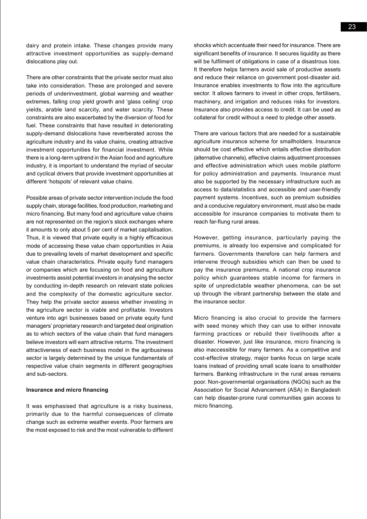dairy and protein intake. These changes provide many attractive investment opportunities as supply-demand dislocations play out.

There are other constraints that the private sector must also take into consideration. These are prolonged and severe periods of underinvestment, global warming and weather extremes, falling crop yield growth and 'glass ceiling' crop yields, arable land scarcity, and water scarcity. These constraints are also exacerbated by the diversion of food for fuel. These constraints that have resulted in deteriorating supply-demand dislocations have reverberated across the agriculture industry and its value chains, creating attractive investment opportunities for financial investment. While there is a long-term uptrend in the Asian food and agriculture industry, it is important to understand the myriad of secular and cyclical drivers that provide investment opportunities at different 'hotspots' of relevant value chains.

Possible areas of private sector intervention include the food supply chain, storage facilities, food production, marketing and micro financing. But many food and agriculture value chains are not represented on the region's stock exchanges where it amounts to only about 5 per cent of market capitalisation. Thus, it is viewed that private equity is a highly efficacious mode of accessing these value chain opportunities in Asia due to prevailing levels of market development and specific value chain characteristics. Private equity fund managers or companies which are focusing on food and agriculture investments assist potential investors in analysing the sector by conducting in-depth research on relevant state policies and the complexity of the domestic agriculture sector. They help the private sector assess whether investing in the agriculture sector is viable and profitable. Investors venture into agri businesses based on private equity fund managers' proprietary research and targeted deal origination as to which sectors of the value chain that fund managers believe investors will earn attractive returns. The investment attractiveness of each business model in the agribusiness sector is largely determined by the unique fundamentals of respective value chain segments in different geographies and sub-sectors.

#### **Insurance and micro financing**

It was emphasised that agriculture is a risky business, primarily due to the harmful consequences of climate change such as extreme weather events. Poor farmers are the most exposed to risk and the most vulnerable to different shocks which accentuate their need for insurance. There are significant benefits of insurance. It secures liquidity as there will be fulfilment of obligations in case of a disastrous loss. It therefore helps farmers avoid sale of productive assets and reduce their reliance on government post-disaster aid. Insurance enables investments to flow into the agriculture sector. It allows farmers to invest in other crops, fertilisers, machinery, and irrigation and reduces risks for investors. Insurance also provides access to credit. It can be used as collateral for credit without a need to pledge other assets.

There are various factors that are needed for a sustainable agriculture insurance scheme for smallholders. Insurance should be cost effective which entails effective distribution (alternative channels), effective claims adjustment processes and effective administration which uses mobile platform for policy administration and payments. Insurance must also be supported by the necessary infrastructure such as access to data/statistics and accessible and user-friendly payment systems. Incentives, such as premium subsidies and a conducive regulatory environment, must also be made accessible for insurance companies to motivate them to reach far-flung rural areas.

However, getting insurance, particularly paying the premiums, is already too expensive and complicated for farmers. Governments therefore can help farmers and intervene through subsidies which can then be used to pay the insurance premiums. A national crop insurance policy which guarantees stable income for farmers in spite of unpredictable weather phenomena, can be set up through the vibrant partnership between the state and the insurance sector.

Micro financing is also crucial to provide the farmers with seed money which they can use to either innovate farming practices or rebuild their livelihoods after a disaster. However, just like insurance, micro financing is also inaccessible for many farmers. As a competitive and cost-effective strategy, major banks focus on large scale loans instead of providing small scale loans to smallholder farmers. Banking infrastructure in the rural areas remains poor. Non-governmental organisations (NGOs) such as the Association for Social Advancement (ASA) in Bangladesh can help disaster-prone rural communities gain access to micro financing.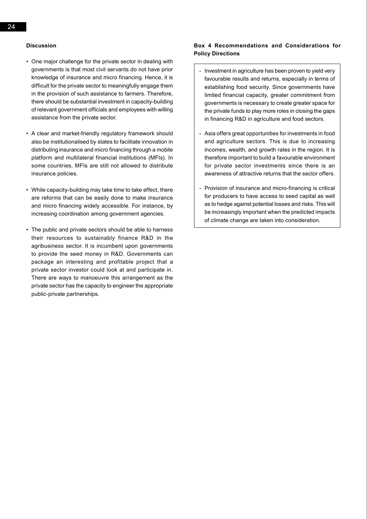#### **Discussion**

- One major challenge for the private sector in dealing with governments is that most civil servants do not have prior knowledge of insurance and micro financing. Hence, it is difficult for the private sector to meaningfully engage them in the provision of such assistance to farmers. Therefore, there should be substantial investment in capacity-building of relevant government officials and employees with willing assistance from the private sector.
- A clear and market-friendly regulatory framework should also be institutionalised by states to facilitate innovation in distributing insurance and micro financing through a mobile platform and multilateral financial institutions (MFIs). In some countries, MFIs are still not allowed to distribute insurance policies.
- • While capacity-building may take time to take effect, there are reforms that can be easily done to make insurance and micro financing widely accessible. For instance, by increasing coordination among government agencies.
- The public and private sectors should be able to harness their resources to sustainably finance R&D in the agribusiness sector. It is incumbent upon governments to provide the seed money in R&D. Governments can package an interesting and profitable project that a private sector investor could look at and participate in. There are ways to manoeuvre this arrangement as the private sector has the capacity to engineer the appropriate public-private partnerships.

### **Box 4 Recommendations and Considerations for Policy Directions**

- Investment in agriculture has been proven to yield very favourable results and returns, especially in terms of establishing food security. Since governments have limited financial capacity, greater commitment from governments is necessary to create greater space for the private funds to play more roles in closing the gaps in financing R&D in agriculture and food sectors.
- Asia offers great opportunities for investments in food and agriculture sectors. This is due to increasing incomes, wealth, and growth rates in the region. It is therefore important to build a favourable environment for private sector investments since there is an awareness of attractive returns that the sector offers.
- Provision of insurance and micro-financing is critical for producers to have access to seed capital as well as to hedge against potential losses and risks. This will be increasingly important when the predicted impacts of climate change are taken into consideration.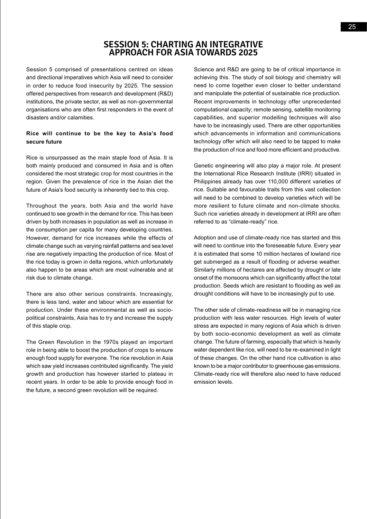## **Session 5: Charting an Integrative Approach for Asia towards 2025**

Session 5 comprised of presentations centred on ideas and directional imperatives which Asia will need to consider in order to reduce food insecurity by 2025. The session offered perspectives from research and development (R&D) institutions, the private sector, as well as non-governmental organisations who are often first responders in the event of disasters and/or calamities.

## **Rice will continue to be the key to Asia's food secure future**

Rice is unsurpassed as the main staple food of Asia. It is both mainly produced and consumed in Asia and is often considered the most strategic crop for most countries in the region. Given the prevalence of rice in the Asian diet the future of Asia's food security is inherently tied to this crop.

Throughout the years, both Asia and the world have continued to see growth in the demand for rice. This has been driven by both increases in population as well as increase in the consumption per capita for many developing countries. However, demand for rice increases while the effects of climate change such as varying rainfall patterns and sea level rise are negatively impacting the production of rice. Most of the rice today is grown in delta regions, which unfortunately also happen to be areas which are most vulnerable and at risk due to climate change.

There are also other serious constraints. Increasingly, there is less land, water and labour which are essential for production. Under these environmental as well as sociopolitical constraints, Asia has to try and increase the supply of this staple crop.

The Green Revolution in the 1970s played an important role in being able to boost the production of crops to ensure enough food supply for everyone. The rice revolution in Asia which saw yield increases contributed significantly. The yield growth and production has however started to plateau in recent years. In order to be able to provide enough food in the future, a second green revolution will be required.

Science and R&D are going to be of critical importance in achieving this. The study of soil biology and chemistry will need to come together even closer to better understand and manipulate the potential of sustainable rice production. Recent improvements in technology offer unprecedented computational capacity; remote sensing, satellite monitoring capabilities, and superior modelling techniques will also have to be increasingly used. There are other opportunities which advancements in information and communications technology offer which will also need to be tapped to make the production of rice and food more efficient and productive.

Genetic engineering will also play a major role. At present the International Rice Research Institute (IRRI) situated in Philippines already has over 110,000 different varieties of rice. Suitable and favourable traits from this vast collection will need to be combined to develop varieties which will be more resilient to future climate and non-climate shocks. Such rice varieties already in development at IRRI are often referred to as "climate-ready" rice.

Adoption and use of climate-ready rice has started and this will need to continue into the foreseeable future. Every year it is estimated that some 10 million hectares of lowland rice get submerged as a result of flooding or adverse weather. Similarly millions of hectares are affected by drought or late onset of the monsoons which can significantly affect the total production. Seeds which are resistant to flooding as well as drought conditions will have to be increasingly put to use.

The other side of climate-readiness will be in managing rice production with less water resources. High levels of water stress are expected in many regions of Asia which is driven by both socio-economic development as well as climate change. The future of farming, especially that which is heavily water dependent like rice, will need to be re-examined in light of these changes. On the other hand rice cultivation is also known to be a major contributor to greenhouse gas emissions. Climate-ready rice will therefore also need to have reduced emission levels.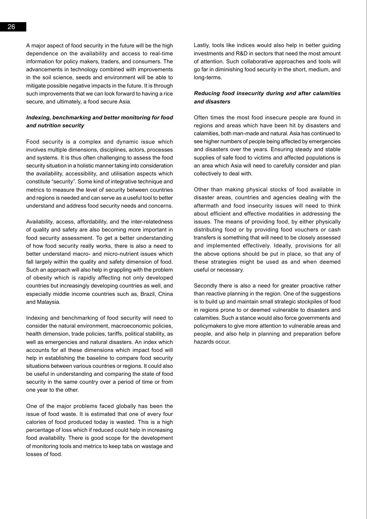A major aspect of food security in the future will be the high dependence on the availability and access to real-time information for policy makers, traders, and consumers. The advancements in technology combined with improvements in the soil science, seeds and environment will be able to mitigate possible negative impacts in the future. It is through such improvements that we can look forward to having a rice secure, and ultimately, a food secure Asia.

### *Indexing, benchmarking and better monitoring for food and nutrition security*

Food security is a complex and dynamic issue which involves multiple dimensions, disciplines, actors, processes and systems. It is thus often challenging to assess the food security situation in a holistic manner taking into consideration the availability, accessibility, and utilisation aspects which constitute "security". Some kind of integrative technique and metrics to measure the level of security between countries and regions is needed and can serve as a useful tool to better understand and address food security needs and concerns.

Availability, access, affordability, and the inter-relatedness of quality and safety are also becoming more important in food security assessment. To get a better understanding of how food security really works, there is also a need to better understand macro- and micro-nutrient issues which fall largely within the quality and safety dimension of food. Such an approach will also help in grappling with the problem of obesity which is rapidly affecting not only developed countries but increasingly developing countries as well, and especially middle income countries such as, Brazil, China and Malaysia.

Indexing and benchmarking of food security will need to consider the natural environment, macroeconomic policies, health dimension, trade policies, tariffs, political stability, as well as emergencies and natural disasters. An index which accounts for all these dimensions which impact food will help in establishing the baseline to compare food security situations between various countries or regions. It could also be useful in understanding and comparing the state of food security in the same country over a period of time or from one year to the other.

One of the major problems faced globally has been the issue of food waste. It is estimated that one of every four calories of food produced today is wasted. This is a high percentage of loss which if reduced could help in increasing food availability. There is good scope for the development of monitoring tools and metrics to keep tabs on wastage and losses of food.

Lastly, tools like indices would also help in better guiding investments and R&D in sectors that need the most amount of attention. Such collaborative approaches and tools will go far in diminishing food security in the short, medium, and long-terms.

#### *Reducing food insecurity during and after calamities and disasters*

Often times the most food insecure people are found in regions and areas which have been hit by disasters and calamities, both man-made and natural. Asia has continued to see higher numbers of people being affected by emergencies and disasters over the years. Ensuring steady and stable supplies of safe food to victims and affected populations is an area which Asia will need to carefully consider and plan collectively to deal with.

Other than making physical stocks of food available in disaster areas, countries and agencies dealing with the aftermath and food insecurity issues will need to think about efficient and effective modalities in addressing the issues. The means of providing food, by either physically distributing food or by providing food vouchers or cash transfers is something that will need to be closely assessed and implemented effectively. Ideally, provisions for all the above options should be put in place, so that any of these strategies might be used as and when deemed useful or necessary.

Secondly there is also a need for greater proactive rather than reactive planning in the region. One of the suggestions is to build up and maintain small strategic stockpiles of food in regions prone to or deemed vulnerable to disasters and calamities. Such a stance would also force governments and policymakers to give more attention to vulnerable areas and people, and also help in planning and preparation before hazards occur.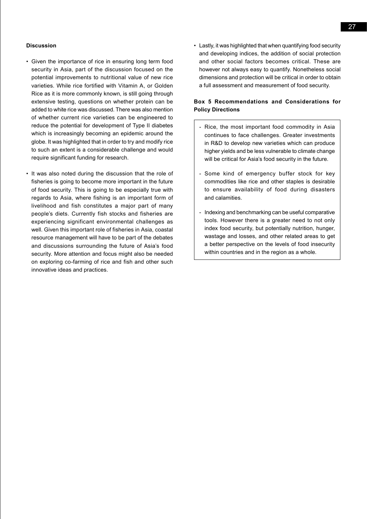#### **Discussion**

- Given the importance of rice in ensuring long term food security in Asia, part of the discussion focused on the potential improvements to nutritional value of new rice varieties. While rice fortified with Vitamin A, or Golden Rice as it is more commonly known, is still going through extensive testing, questions on whether protein can be added to white rice was discussed. There was also mention of whether current rice varieties can be engineered to reduce the potential for development of Type II diabetes which is increasingly becoming an epidemic around the globe. It was highlighted that in order to try and modify rice to such an extent is a considerable challenge and would require significant funding for research.
- It was also noted during the discussion that the role of fisheries is going to become more important in the future of food security. This is going to be especially true with regards to Asia, where fishing is an important form of livelihood and fish constitutes a major part of many people's diets. Currently fish stocks and fisheries are experiencing significant environmental challenges as well. Given this important role of fisheries in Asia, coastal resource management will have to be part of the debates and discussions surrounding the future of Asia's food security. More attention and focus might also be needed on exploring co-farming of rice and fish and other such innovative ideas and practices.

• Lastly, it was highlighted that when quantifying food security and developing indices, the addition of social protection and other social factors becomes critical. These are however not always easy to quantify. Nonetheless social dimensions and protection will be critical in order to obtain a full assessment and measurement of food security.

#### **Box 5 Recommendations and Considerations for Policy Directions**

- Rice, the most important food commodity in Asia continues to face challenges. Greater investments in R&D to develop new varieties which can produce higher yields and be less vulnerable to climate change will be critical for Asia's food security in the future.
- Some kind of emergency buffer stock for key commodities like rice and other staples is desirable to ensure availability of food during disasters and calamities.
- Indexing and benchmarking can be useful comparative tools. However there is a greater need to not only index food security, but potentially nutrition, hunger, wastage and losses, and other related areas to get a better perspective on the levels of food insecurity within countries and in the region as a whole.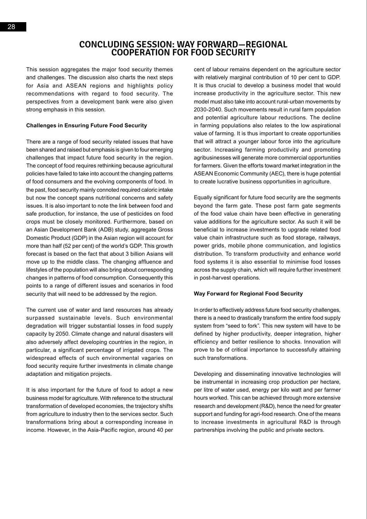This session aggregates the major food security themes and challenges. The discussion also charts the next steps for Asia and ASEAN regions and highlights policy recommendations with regard to food security. The perspectives from a development bank were also given strong emphasis in this session.

#### **Challenges in Ensuring Future Food Security**

There are a range of food security related issues that have been shared and raised but emphasis is given to four emerging challenges that impact future food security in the region. The concept of food requires rethinking because agricultural policies have failed to take into account the changing patterns of food consumers and the evolving components of food. In the past, food security mainly connoted required caloric intake but now the concept spans nutritional concerns and safety issues. It is also important to note the link between food and safe production, for instance, the use of pesticides on food crops must be closely monitored. Furthermore, based on an Asian Development Bank (ADB) study, aggregate Gross Domestic Product (GDP) in the Asian region will account for more than half (52 per cent) of the world's GDP. This growth forecast is based on the fact that about 3 billion Asians will move up to the middle class. The changing affluence and lifestyles of the population will also bring about corresponding changes in patterns of food consumption. Consequently this points to a range of different issues and scenarios in food security that will need to be addressed by the region.

The current use of water and land resources has already surpassed sustainable levels. Such environmental degradation will trigger substantial losses in food supply capacity by 2050. Climate change and natural disasters will also adversely affect developing countries in the region, in particular, a significant percentage of irrigated crops. The widespread effects of such environmental vagaries on food security require further investments in climate change adaptation and mitigation projects.

It is also important for the future of food to adopt a new business model for agriculture. With reference to the structural transformation of developed economies, the trajectory shifts from agriculture to industry then to the services sector. Such transformations bring about a corresponding increase in income. However, in the Asia-Pacific region, around 40 per cent of labour remains dependent on the agriculture sector with relatively marginal contribution of 10 per cent to GDP. It is thus crucial to develop a business model that would increase productivity in the agriculture sector. This new model must also take into account rural-urban movements by 2030-2040. Such movements result in rural farm population and potential agriculture labour reductions. The decline in farming populations also relates to the low aspirational value of farming. It is thus important to create opportunities that will attract a younger labour force into the agriculture sector. Increasing farming productivity and promoting agribusinesses will generate more commercial opportunities for farmers. Given the efforts toward market integration in the ASEAN Economic Community (AEC), there is huge potential to create lucrative business opportunities in agriculture.

Equally significant for future food security are the segments beyond the farm gate. These post farm gate segments of the food value chain have been effective in generating value additions for the agriculture sector. As such it will be beneficial to increase investments to upgrade related food value chain infrastructure such as food storage, railways, power grids, mobile phone communication, and logistics distribution. To transform productivity and enhance world food systems it is also essential to minimise food losses across the supply chain, which will require further investment in post-harvest operations.

#### **Way Forward for Regional Food Security**

In order to effectively address future food security challenges, there is a need to drastically transform the entire food supply system from "seed to fork". This new system will have to be defined by higher productivity, deeper integration, higher efficiency and better resilience to shocks. Innovation will prove to be of critical importance to successfully attaining such transformations.

Developing and disseminating innovative technologies will be instrumental in increasing crop production per hectare, per litre of water used, energy per kilo watt and per farmer hours worked. This can be achieved through more extensive research and development (R&D), hence the need for greater support and funding for agri-food research. One of the means to increase investments in agricultural R&D is through partnerships involving the public and private sectors.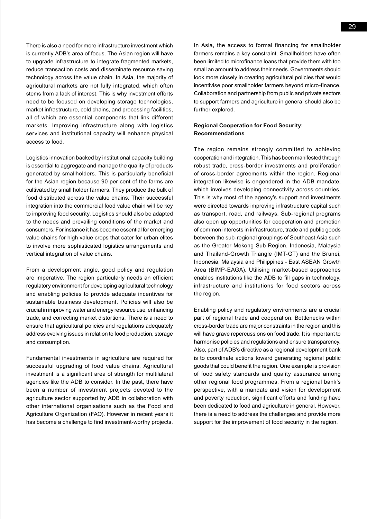There is also a need for more infrastructure investment which is currently ADB's area of focus. The Asian region will have to upgrade infrastructure to integrate fragmented markets, reduce transaction costs and disseminate resource saving technology across the value chain. In Asia, the majority of agricultural markets are not fully integrated, which often stems from a lack of interest. This is why investment efforts need to be focused on developing storage technologies, market infrastructure, cold chains, and processing facilities, all of which are essential components that link different markets. Improving infrastructure along with logistics services and institutional capacity will enhance physical access to food.

Logistics innovation backed by institutional capacity building is essential to aggregate and manage the quality of products generated by smallholders. This is particularly beneficial for the Asian region because 90 per cent of the farms are cultivated by small holder farmers. They produce the bulk of food distributed across the value chains. Their successful integration into the commercial food value chain will be key to improving food security. Logistics should also be adapted to the needs and prevailing conditions of the market and consumers. For instance it has become essential for emerging value chains for high value crops that cater for urban elites to involve more sophisticated logistics arrangements and vertical integration of value chains.

From a development angle, good policy and regulation are imperative. The region particularly needs an efficient regulatory environment for developing agricultural technology and enabling policies to provide adequate incentives for sustainable business development. Policies will also be crucial in improving water and energy resource use, enhancing trade, and correcting market distortions. There is a need to ensure that agricultural policies and regulations adequately address evolving issues in relation to food production, storage and consumption.

Fundamental investments in agriculture are required for successful upgrading of food value chains. Agricultural investment is a significant area of strength for multilateral agencies like the ADB to consider. In the past, there have been a number of investment projects devoted to the agriculture sector supported by ADB in collaboration with other international organisations such as the Food and Agriculture Organization (FAO). However in recent years it has become a challenge to find investment-worthy projects.

In Asia, the access to formal financing for smallholder farmers remains a key constraint. Smallholders have often been limited to microfinance loans that provide them with too small an amount to address their needs. Governments should look more closely in creating agricultural policies that would incentivise poor smallholder farmers beyond micro-finance. Collaboration and partnership from public and private sectors to support farmers and agriculture in general should also be further explored.

#### **Regional Cooperation for Food Security: Recommendations**

The region remains strongly committed to achieving cooperation and integration. This has been manifested through robust trade, cross-border investments and proliferation of cross-border agreements within the region. Regional integration likewise is engendered in the ADB mandate, which involves developing connectivity across countries. This is why most of the agency's support and investments were directed towards improving infrastructure capital such as transport, road, and railways. Sub-regional programs also open up opportunities for cooperation and promotion of common interests in infrastructure, trade and public goods between the sub-regional groupings of Southeast Asia such as the Greater Mekong Sub Region, Indonesia, Malaysia and Thailand-Growth Triangle (IMT-GT) and the Brunei, Indonesia, Malaysia and Philippines - East ASEAN Growth Area (BIMP-EAGA). Utilising market-based approaches enables institutions like the ADB to fill gaps in technology, infrastructure and institutions for food sectors across the region.

Enabling policy and regulatory environments are a crucial part of regional trade and cooperation. Bottlenecks within cross-border trade are major constraints in the region and this will have grave repercussions on food trade. It is important to harmonise policies and regulations and ensure transparency. Also, part of ADB's directive as a regional development bank is to coordinate actions toward generating regional public goods that could benefit the region. One example is provision of food safety standards and quality assurance among other regional food programmes. From a regional bank's perspective, with a mandate and vision for development and poverty reduction, significant efforts and funding have been dedicated to food and agriculture in general. However, there is a need to address the challenges and provide more support for the improvement of food security in the region.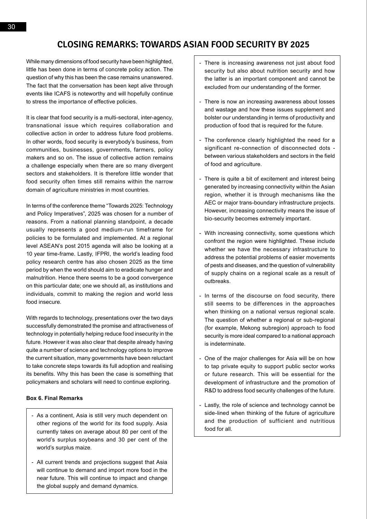While many dimensions of food security have been highlighted, little has been done in terms of concrete policy action. The question of why this has been the case remains unanswered. The fact that the conversation has been kept alive through events like ICAFS is noteworthy and will hopefully continue to stress the importance of effective policies.

It is clear that food security is a multi-sectoral, inter-agency, transnational issue which requires collaboration and collective action in order to address future food problems. In other words, food security is everybody's business, from communities, businesses, governments, farmers, policy makers and so on. The issue of collective action remains a challenge especially when there are so many divergent sectors and stakeholders. It is therefore little wonder that food security often times still remains within the narrow domain of agriculture ministries in most countries.

In terms of the conference theme "Towards 2025: Technology and Policy Imperatives", 2025 was chosen for a number of reasons. From a national planning standpoint, a decade usually represents a good medium-run timeframe for policies to be formulated and implemented. At a regional level ASEAN's post 2015 agenda will also be looking at a 10 year time-frame. Lastly, IFPRI, the world's leading food policy research centre has also chosen 2025 as the time period by when the world should aim to eradicate hunger and malnutrition. Hence there seems to be a good convergence on this particular date; one we should all, as institutions and individuals, commit to making the region and world less food insecure.

With regards to technology, presentations over the two days successfully demonstrated the promise and attractiveness of technology in potentially helping reduce food insecurity in the future. However it was also clear that despite already having quite a number of science and technology options to improve the current situation, many governments have been reluctant to take concrete steps towards its full adoption and realising its benefits. Why this has been the case is something that policymakers and scholars will need to continue exploring.

#### **Box 6. Final Remarks**

- As a continent, Asia is still very much dependent on other regions of the world for its food supply. Asia currently takes on average about 80 per cent of the world's surplus soybeans and 30 per cent of the world's surplus maize.
- All current trends and projections suggest that Asia will continue to demand and import more food in the near future. This will continue to impact and change the global supply and demand dynamics.
- There is increasing awareness not just about food security but also about nutrition security and how the latter is an important component and cannot be excluded from our understanding of the former.
- There is now an increasing awareness about losses and wastage and how these issues supplement and bolster our understanding in terms of productivity and production of food that is required for the future.
- The conference clearly highlighted the need for a significant re-connection of disconnected dots between various stakeholders and sectors in the field of food and agriculture.
- There is quite a bit of excitement and interest being generated by increasing connectivity within the Asian region, whether it is through mechanisms like the AEC or major trans-boundary infrastructure projects. However, increasing connectivity means the issue of bio-security becomes extremely important.
- With increasing connectivity, some questions which confront the region were highlighted. These include whether we have the necessary infrastructure to address the potential problems of easier movements of pests and diseases, and the question of vulnerability of supply chains on a regional scale as a result of outbreaks.
- In terms of the discourse on food security, there still seems to be differences in the approaches when thinking on a national versus regional scale. The question of whether a regional or sub-regional (for example, Mekong subregion) approach to food security is more ideal compared to a national approach is indeterminate.
- One of the major challenges for Asia will be on how to tap private equity to support public sector works or future research. This will be essential for the development of infrastructure and the promotion of R&D to address food security challenges of the future.
- Lastly, the role of science and technology cannot be side-lined when thinking of the future of agriculture and the production of sufficient and nutritious food for all.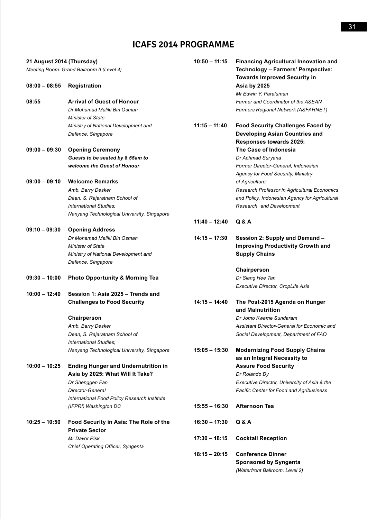# **ICAFS 2014 Programme**

| 21 August 2014 (Thursday) |                                                                                | $10:50 - 11:15$ | <b>Financing Agricultural Innovation and</b>                                     |
|---------------------------|--------------------------------------------------------------------------------|-----------------|----------------------------------------------------------------------------------|
|                           | Meeting Room: Grand Ballroom II (Level 4)                                      |                 | <b>Technology - Farmers' Perspective:</b><br><b>Towards Improved Security in</b> |
| 08:00 - 08:55             | <b>Registration</b>                                                            |                 | Asia by 2025<br>Mr Edwin Y. Paraluman                                            |
| 08:55                     | <b>Arrival of Guest of Honour</b>                                              |                 | <b>Farmer and Coordinator of the ASEAN</b>                                       |
|                           | Dr Mohamad Maliki Bin Osman                                                    |                 | Farmers Regional Network (ASFARNET)                                              |
|                           | <b>Minister of State</b>                                                       |                 |                                                                                  |
|                           | Ministry of National Development and                                           | $11:15 - 11:40$ | <b>Food Security Challenges Faced by</b>                                         |
|                           | Defence, Singapore                                                             |                 | <b>Developing Asian Countries and</b>                                            |
|                           |                                                                                |                 | Responses towards 2025:                                                          |
| 09:00 - 09:30             | <b>Opening Ceremony</b>                                                        |                 | The Case of Indonesia                                                            |
|                           | Guests to be seated by 8.55am to                                               |                 | Dr Achmad Suryana                                                                |
|                           | welcome the Guest of Honour                                                    |                 | Former Director-General, Indonesian<br><b>Agency for Food Security, Ministry</b> |
| 09:00 – 09:10             | <b>Welcome Remarks</b>                                                         |                 | of Agriculture;                                                                  |
|                           | Amb. Barry Desker                                                              |                 | Research Professor in Agricultural Economics                                     |
|                           | Dean, S. Rajaratnam School of                                                  |                 | and Policy, Indonesian Agency for Agricultural                                   |
|                           | International Studies:                                                         |                 | Research and Development                                                         |
|                           | Nanyang Technological University, Singapore                                    |                 |                                                                                  |
|                           |                                                                                | $11:40 - 12:40$ | Q & A                                                                            |
| 09:10 – 09:30             | <b>Opening Address</b>                                                         |                 |                                                                                  |
|                           | Dr Mohamad Maliki Bin Osman                                                    | $14:15 - 17:30$ | Session 2: Supply and Demand -                                                   |
|                           | <b>Minister of State</b>                                                       |                 | <b>Improving Productivity Growth and</b>                                         |
|                           | Ministry of National Development and                                           |                 | <b>Supply Chains</b>                                                             |
|                           | Defence, Singapore                                                             |                 |                                                                                  |
|                           |                                                                                |                 | Chairperson                                                                      |
| 09:30 – 10:00             | <b>Photo Opportunity &amp; Morning Tea</b>                                     |                 | Dr Siang Hee Tan                                                                 |
|                           |                                                                                |                 | Executive Director, CropLife Asia                                                |
| $10:00 - 12:40$           | Session 1: Asia 2025 - Trends and                                              |                 |                                                                                  |
|                           | <b>Challenges to Food Security</b>                                             | $14:15 - 14:40$ | The Post-2015 Agenda on Hunger                                                   |
|                           |                                                                                |                 | and Malnutrition                                                                 |
|                           | Chairperson                                                                    |                 | Dr Jomo Kwame Sundaram                                                           |
|                           | Amb. Barry Desker                                                              |                 | Assistant Director-General for Economic and                                      |
|                           | Dean, S. Rajaratnam School of                                                  |                 | Social Development, Department of FAO                                            |
|                           | International Studies;                                                         |                 |                                                                                  |
|                           | Nanyang Technological University, Singapore                                    | $15:05 - 15:30$ | <b>Modernizing Food Supply Chains</b>                                            |
| 10:00 - 10:25             |                                                                                |                 | as an Integral Necessity to<br><b>Assure Food Security</b>                       |
|                           | <b>Ending Hunger and Undernutrition in</b><br>Asia by 2025: What Will It Take? |                 | Dr Rolando Dy                                                                    |
|                           | Dr Shenggen Fan                                                                |                 | Executive Director, University of Asia & the                                     |
|                           | Director-General                                                               |                 | <b>Pacific Center for Food and Agribusiness</b>                                  |
|                           | International Food Policy Research Institute                                   |                 |                                                                                  |
|                           | (IFPRI) Washington DC                                                          | $15:55 - 16:30$ | <b>Afternoon Tea</b>                                                             |
|                           |                                                                                |                 |                                                                                  |
| 10:25 - 10:50             | Food Security in Asia: The Role of the                                         | $16:30 - 17:30$ | Q & A                                                                            |
|                           | <b>Private Sector</b>                                                          |                 |                                                                                  |
|                           | Mr Davor Pisk                                                                  | $17:30 - 18:15$ | <b>Cocktail Reception</b>                                                        |
|                           | Chief Operating Officer, Syngenta                                              | $18:15 - 20:15$ | <b>Conference Dinner</b>                                                         |
|                           |                                                                                |                 | <b>Sponsored by Syngenta</b>                                                     |
|                           |                                                                                |                 | (Waterfront Ballroom, Level 2)                                                   |
|                           |                                                                                |                 |                                                                                  |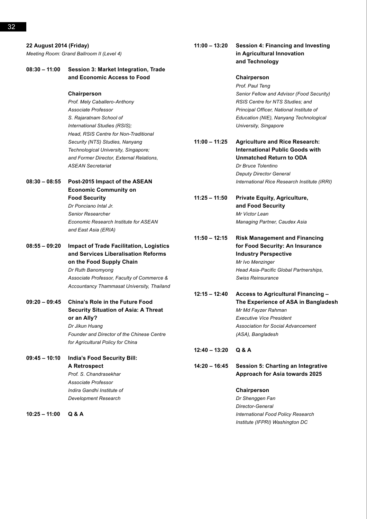| 22 August 2014 (Friday)<br>Meeting Room: Grand Ballroom II (Level 4) |                                                                                       |      |
|----------------------------------------------------------------------|---------------------------------------------------------------------------------------|------|
| $08:30 - 11:00$                                                      | Session 3: Market Integration, Trade<br>and Economic Access to Food                   |      |
|                                                                      | Chairperson                                                                           |      |
|                                                                      | Prof. Mely Caballero-Anthony                                                          |      |
|                                                                      | Associate Professor                                                                   |      |
|                                                                      | S. Rajaratnam School of                                                               |      |
|                                                                      | International Studies (RSIS);                                                         |      |
|                                                                      | Head, RSIS Centre for Non-Traditional                                                 |      |
|                                                                      | Security (NTS) Studies, Nanyang                                                       | 11:0 |
|                                                                      | Technological University, Singapore;                                                  |      |
|                                                                      | and Former Director, External Relations,                                              |      |
|                                                                      | <b>ASEAN Secretariat</b>                                                              |      |
| $08:30 - 08:55$                                                      | Post-2015 Impact of the ASEAN                                                         |      |
|                                                                      | <b>Economic Community on</b>                                                          |      |
|                                                                      | <b>Food Security</b>                                                                  | 11:2 |
|                                                                      | Dr Ponciano Intal Jr.                                                                 |      |
|                                                                      | Senior Researcher                                                                     |      |
|                                                                      | <b>Economic Research Institute for ASEAN</b>                                          |      |
|                                                                      | and East Asia (ERIA)                                                                  |      |
| $08:55 - 09:20$                                                      | <b>Impact of Trade Facilitation, Logistics</b><br>and Services Liberalisation Reforms | 11:5 |
|                                                                      | on the Food Supply Chain                                                              |      |
|                                                                      | Dr Ruth Banomyong                                                                     |      |
|                                                                      | Associate Professor, Faculty of Commerce &                                            |      |
|                                                                      | Accountancy Thammasat University, Thailand                                            | 12:1 |
| $09:20 - 09:45$                                                      | <b>China's Role in the Future Food</b>                                                |      |
|                                                                      | <b>Security Situation of Asia: A Threat</b>                                           |      |
|                                                                      | or an Ally?                                                                           |      |
|                                                                      | Dr Jikun Huang                                                                        |      |
|                                                                      | <b>Founder and Director of the Chinese Centre</b>                                     |      |
|                                                                      | for Agricultural Policy for China                                                     |      |
|                                                                      |                                                                                       | 12:4 |
| $09:45 - 10:10$                                                      | <b>India's Food Security Bill:</b>                                                    |      |
|                                                                      |                                                                                       |      |

**A Retrospect** *Prof. S. Chandrasekhar Associate Professor Indira Gandhi Institute of Development Research*

**10:25 – 11:00 Q & A**

## **11:00 – 13:20 Session 4: Financing and Investing in Agricultural Innovation and Technology**

## **Chairperson** *Prof. Paul Teng Senior Fellow and Advisor (Food Security) RSIS Centre for NTS Studies; and Principal Officer, National Institute of Education (NIE), Nanyang Technological University, Singapore*

**11:00 – 11:25 Agriculture and Rice Research: International Public Goods with Unmatched Return to ODA** *Dr Bruce Tolentino Deputy Director General International Rice Research Institute (IRRI)*

**11:25 – 11:50 Private Equity, Agriculture, and Food Security** *Mr Victor Lean Managing Partner, Caudex Asia*

**11:50 – 12:15 Risk Management and Financing for Food Security: An Insurance Industry Perspective** *Mr Ivo Menzinger Head Asia-Pacific Global Partnerships, Swiss Reinsurance*

**12:15 – 12:40 Access to Agricultural Financing – The Experience of ASA in Bangladesh** *Mr Md Fayzer Rahman Executive Vice President Association for Social Advancement (ASA), Bangladesh*

# **12:40 – 13:20 Q & A**

**14:20 – 16:45 Session 5: Charting an Integrative Approach for Asia towards 2025**

## **Chairperson**

*Dr Shenggen Fan Director-General International Food Policy Research Institute (IFPRI) Washington DC*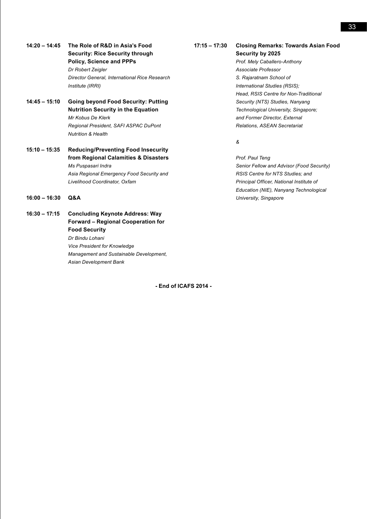- **14:20 14:45 The Role of R&D in Asia's Food Security: Rice Security through Policy, Science and PPPs** *Dr Robert Zeigler Director General, International Rice Research Institute (IRRI)*
- **14:45 15:10 Going beyond Food Security: Putting Nutrition Security in the Equation** *Mr Kobus De Klerk Regional President, SAFI ASPAC DuPont Nutrition & Health*
- **15:10 15:35 Reducing/Preventing Food Insecurity from Regional Calamities & Disasters** *Ms Puspasari Indra Asia Regional Emergency Food Security and Livelihood Coordinator, Oxfam*
- **16:00 16:30 Q&A**

**16:30 – 17:15 Concluding Keynote Address: Way Forward – Regional Cooperation for Food Security** *Dr Bindu Lohani Vice President for Knowledge Management and Sustainable Development, Asian Development Bank*

**- End of ICAFS 2014 -**

#### **17:15 – 17:30 Closing Remarks: Towards Asian Food Security by 2025**

*Prof. Mely Caballero-Anthony Associate Professor S. Rajaratnam School of International Studies (RSIS); Head, RSIS Centre for Non-Traditional Security (NTS) Studies, Nanyang Technological University, Singapore; and Former Director, External Relations, ASEAN Secretariat*

*&*

*Prof. Paul Teng Senior Fellow and Advisor (Food Security) RSIS Centre for NTS Studies; and Principal Officer, National Institute of Education (NIE), Nanyang Technological University, Singapore*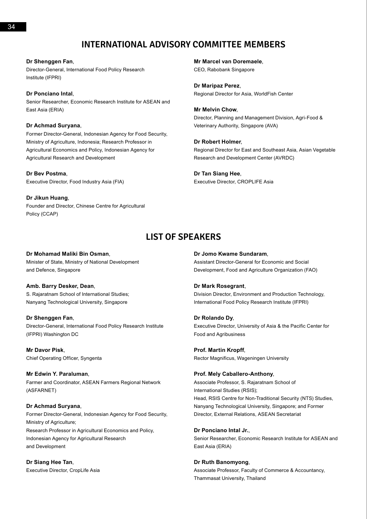# **International Advisory Committee Members**

**Dr Shenggen Fan**, Director-General, International Food Policy Research Institute (IFPRI)

### **Dr Ponciano Intal**,

Senior Researcher, Economic Research Institute for ASEAN and East Asia (ERIA)

#### **Dr Achmad Suryana**,

Former Director-General, Indonesian Agency for Food Security, Ministry of Agriculture, Indonesia; Research Professor in Agricultural Economics and Policy, Indonesian Agency for Agricultural Research and Development

**Dr Bev Postma**, Executive Director, Food Industry Asia (FIA)

#### **Dr Jikun Huang**,

Founder and Director, Chinese Centre for Agricultural Policy (CCAP)

**Mr Marcel van Doremaele**, CEO, Rabobank Singapore

**Dr Maripaz Perez**, Regional Director for Asia, WorldFish Center

**Mr Melvin Chow**, Director, Planning and Management Division, Agri-Food & Veterinary Authority, Singapore (AVA)

#### **Dr Robert Holmer**,

Regional Director for East and Southeast Asia, Asian Vegetable Research and Development Center (AVRDC)

**Dr Tan Siang Hee**,

Executive Director, CROPLIFE Asia

# **List of Speakers**

#### **Dr Mohamad Maliki Bin Osman**,

Minister of State, Ministry of National Development and Defence, Singapore

### **Amb. Barry Desker, Dean**,

S. Rajaratnam School of International Studies; Nanyang Technological University, Singapore

#### **Dr Shenggen Fan**,

Director-General, International Food Policy Research Institute (IFPRI) Washington DC

**Mr Davor Pisk**, Chief Operating Officer, Syngenta

**Mr Edwin Y. Paraluman**, Farmer and Coordinator, ASEAN Farmers Regional Network (ASFARNET)

#### **Dr Achmad Suryana**,

Former Director-General, Indonesian Agency for Food Security, Ministry of Agriculture; Research Professor in Agricultural Economics and Policy, Indonesian Agency for Agricultural Research and Development

**Dr Siang Hee Tan**,

Executive Director, CropLife Asia

#### **Dr Jomo Kwame Sundaram**,

Assistant Director-General for Economic and Social Development, Food and Agriculture Organization (FAO)

#### **Dr Mark Rosegrant**,

Division Director, Environment and Production Technology, International Food Policy Research Institute (IFPRI)

#### **Dr Rolando Dy**,

Executive Director, University of Asia & the Pacific Center for Food and Agribusiness

**Prof. Martin Kropff**, Rector Magnificus, Wageningen University

#### **Prof. Mely Caballero-Anthony**,

Associate Professor, S. Rajaratnam School of International Studies (RSIS); Head, RSIS Centre for Non-Traditional Security (NTS) Studies, Nanyang Technological University, Singapore; and Former Director, External Relations, ASEAN Secretariat

**Dr Ponciano Intal Jr.**,

Senior Researcher, Economic Research Institute for ASEAN and East Asia (ERIA)

#### **Dr Ruth Banomyong**,

Associate Professor, Faculty of Commerce & Accountancy, Thammasat University, Thailand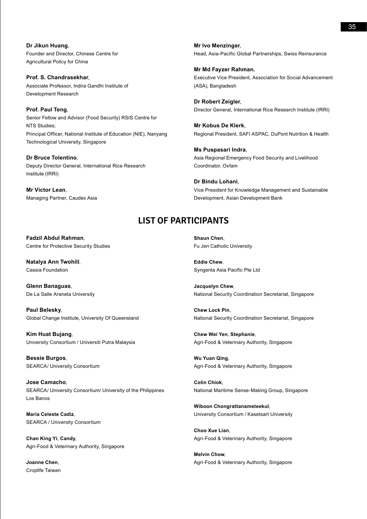**Dr Jikun Huang**, Founder and Director, Chinese Centre for Agricultural Policy for China

**Prof. S. Chandrasekhar**, Associate Professor, Indira Gandhi Institute of Development Research

**Prof. Paul Teng**, Senior Fellow and Advisor (Food Security) RSIS Centre for NTS Studies; Principal Officer, National Institute of Education (NIE), Nanyang Technological University, Singapore

**Dr Bruce Tolentino**, Deputy Director General, International Rice Research Institute (IRRI)

**Mr Victor Lean**, Managing Partner, Caudex Asia **Mr Ivo Menzinger**, Head, Asia-Pacific Global Partnerships, Swiss Reinsurance

**Mr Md Fayzer Rahman**, Executive Vice President, Association for Social Advancement (ASA), Bangladesh

**Dr Robert Zeigler**, Director General, International Rice Research Institute (IRRI)

**Mr Kobus De Klerk**, Regional President, SAFI ASPAC, DuPont Nutrition & Health

**Ms Puspasari Indra**, Asia Regional Emergency Food Security and Livelihood Coordinator, Oxfam

**Dr Bindu Lohani**, Vice President for Knowledge Management and Sustainable Development, Asian Development Bank

# **List of PARTICIPANTS**

**Fadzil Abdul Rahman**, Centre for Protective Security Studies

**Natalya Ann Twohill**, Cassia Foundation

**Glenn Banaguas**, De La Salle Araneta University

**Paul Belesky**, Global Change Institute, University Of Queensland

**Kim Huat Bujang**, University Consortium / Universiti Putra Malaysia

**Bessie Burgos**, SEARCA/ University Consortium

**Jose Camacho**, SEARCA/ University Consortium/ University of the Philippines Los Banos

**Maria Celeste Cadiz**, SEARCA / University Consortium

**Chan King Yi**, **Candy**, Agri-Food & Veterinary Authority, Singapore

**Joanne Chen**, Croplife Taiwan **Shaun Chen**, Fu Jen Catholic University

**Eddie Chew**, Syngenta Asia Pacific Pte Ltd

**Jacquelyn Chew**, National Security Coordination Secretariat, Singapore

**Chew Lock Pin**, National Security Coordination Secretariat, Singapore

**Chew Wei Yen**, **Stephanie**, Agri-Food & Veterinary Authority, Singapore

**Wu Yuan Qing**, Agri-Food & Veterinary Authority, Singapore

**Colin Chiok**, National Maritime Sense-Making Group, Singapore

**Wiboon Chongrattanameteekul**, University Consortium / Kasetsart University

**Choo Xue Lian**, Agri-Food & Veterinary Authority, Singapore

**Melvin Chow**, Agri-Food & Veterinary Authority, Singapore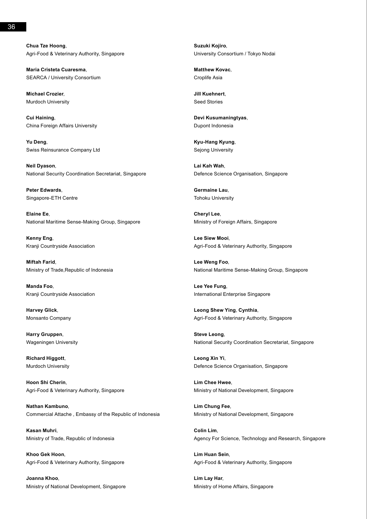**Chua Tze Hoong**, Agri-Food & Veterinary Authority, Singapore

**Maria Cristeta Cuaresma**, SEARCA / University Consortium

**Michael Crozier**, Murdoch University

**Cui Haining**, China Foreign Affairs University

**Yu Deng**, Swiss Reinsurance Company Ltd

**Neil Dyason**, National Security Coordination Secretariat, Singapore

**Peter Edwards**, Singapore-ETH Centre

**Elaine Ee**, National Maritime Sense-Making Group, Singapore

**Kenny Eng**, Kranji Countryside Association

**Miftah Farid**, Ministry of Trade,Republic of Indonesia

**Manda Foo**, Kranji Countryside Association

**Harvey Glick**, Monsanto Company

**Harry Gruppen**, Wageningen University

**Richard Higgott**, Murdoch University

**Hoon Shi Cherin**, Agri-Food & Veterinary Authority, Singapore

**Nathan Kambuno**, Commercial Attache , Embassy of the Republic of Indonesia

**Kasan Muhri**, Ministry of Trade, Republic of Indonesia

**Khoo Gek Hoon**, Agri-Food & Veterinary Authority, Singapore

**Joanna Khoo**, Ministry of National Development, Singapore **Suzuki Kojiro**, University Consortium / Tokyo Nodai

**Matthew Kovac**, Croplife Asia

**Jill Kuehnert**, Seed Stories

**Devi Kusumaningtyas**, Dupont Indonesia

**Kyu-Hang Kyung**, Sejong University

**Lai Kah Wah**, Defence Science Organisation, Singapore

**Germaine Lau**, Tohoku University

**Cheryl Lee**, Ministry of Foreign Affairs, Singapore

**Lee Siew Mooi**, Agri-Food & Veterinary Authority, Singapore

**Lee Weng Foo**, National Maritime Sense-Making Group, Singapore

**Lee Yee Fung**, International Enterprise Singapore

**Leong Shew Ying**, **Cynthia**, Agri-Food & Veterinary Authority, Singapore

**Steve Leong**, National Security Coordination Secretariat, Singapore

**Leong Xin Yi**, Defence Science Organisation, Singapore

**Lim Chee Hwee**, Ministry of National Development, Singapore

**Lim Chung Fee**, Ministry of National Development, Singapore

**Colin Lim**, Agency For Science, Technology and Research, Singapore

**Lim Huan Sein**, Agri-Food & Veterinary Authority, Singapore

**Lim Lay Har**, Ministry of Home Affairs, Singapore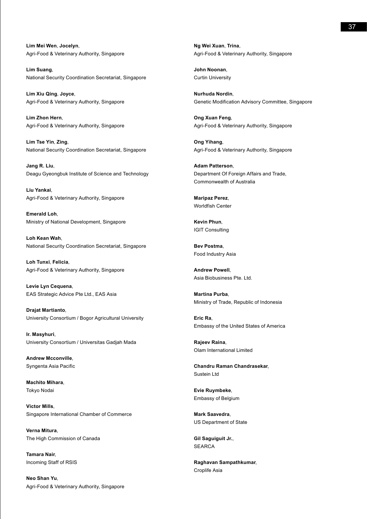**Lim Mei Wen**, **Jocelyn**, Agri-Food & Veterinary Authority, Singapore

**Lim Suang**, National Security Coordination Secretariat, Singapore

**Lim Xiu Qing**, **Joyce**, Agri-Food & Veterinary Authority, Singapore

**Lim Zhon Hern**, Agri-Food & Veterinary Authority, Singapore

**Lim Tse Yin**, **Zing**, National Security Coordination Secretariat, Singapore

**Jang R. Liu**, Deagu Gyeongbuk Institute of Science and Technology

**Liu Yankai**, Agri-Food & Veterinary Authority, Singapore

**Emerald Loh**, Ministry of National Development, Singapore

**Loh Kean Wah**, National Security Coordination Secretariat, Singapore

**Loh Tunxi**, **Felicia**, Agri-Food & Veterinary Authority, Singapore

**Levie Lyn Cequena**, EAS Strategic Advice Pte Ltd., EAS Asia

**Drajat Martianto**, University Consortium / Bogor Agricultural University

**Ir. Masyhuri**, University Consortium / Universitas Gadjah Mada

**Andrew Mcconville**, Syngenta Asia Pacific

**Machito Mihara**, Tokyo Nodai

**Victor Mills**, Singapore International Chamber of Commerce

**Verna Mitura**, The High Commission of Canada

**Tamara Nair**, Incoming Staff of RSIS

**Neo Shan Yu**, Agri-Food & Veterinary Authority, Singapore **Ng Wei Xuan**, **Trina**, Agri-Food & Veterinary Authority, Singapore

**John Noonan**, Curtin University

**Nurhuda Nordin**, Genetic Modification Advisory Committee, Singapore

**Ong Xuan Feng**, Agri-Food & Veterinary Authority, Singapore

**Ong Yihang**, Agri-Food & Veterinary Authority, Singapore

**Adam Patterson**, Department Of Foreign Affairs and Trade, Commonwealth of Australia

**Maripaz Perez**, Worldfish Center

**Kevin Phun**, IGIT Consulting

**Bev Postma**, Food Industry Asia

**Andrew Powell**, Asia Biobusiness Pte. Ltd.

**Martina Purba**, Ministry of Trade, Republic of Indonesia

**Eric Ra**, Embassy of the United States of America

**Rajeev Raina**, Olam International Limited

**Chandru Raman Chandrasekar**, Sustein Ltd

**Evie Ruymbeke**, Embassy of Belgium

**Mark Saavedra**, US Department of State

**Gil Saguiguit Jr.**, **SEARCA** 

**Raghavan Sampathkumar**, Croplife Asia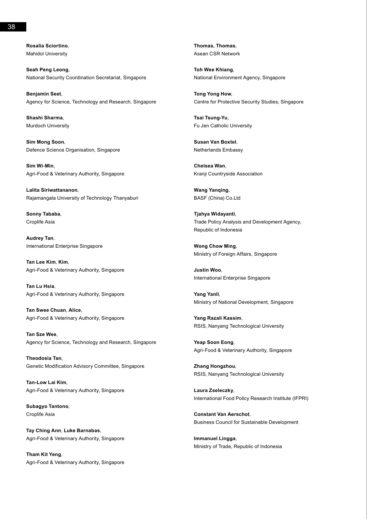**Seah Peng Leong**, National Security Coordination Secretariat, Singapore

**Benjamin Seet**, Agency for Science, Technology and Research, Singapore

**Shashi Sharma**, Murdoch University

**Sim Mong Soon**, Defence Science Organisation, Singapore

**Sim Wi-Min**, Agri-Food & Veterinary Authority, Singapore

**Lalita Siriwattananon**, Rajamangala University of Technology Thanyaburi

**Sonny Tababa**, Croplife Asia

**Audrey Tan**, International Enterprise Singapore

**Tan Lee Kim**, **Kim**, Agri-Food & Veterinary Authority, Singapore

**Tan Lu Hsia**, Agri-Food & Veterinary Authority, Singapore

**Tan Swee Chuan**, **Alice**, Agri-Food & Veterinary Authority, Singapore

**Tan Sze Wee**, Agency for Science, Technology and Research, Singapore

**Theodosia Tan**, Genetic Modification Advisory Committee, Singapore

**Tan-Low Lai Kim**, Agri-Food & Veterinary Authority, Singapore

**Subagyo Tantono**, Croplife Asia

**Tay Ching Ann**, **Luke Barnabas**, Agri-Food & Veterinary Authority, Singapore

**Tham Kit Yeng**, Agri-Food & Veterinary Authority, Singapore **Thomas, Thomas**, Asean CSR Network

**Toh Wee Khiang**, National Environment Agency, Singapore

**Tong Yong How**, Centre for Protective Security Studies, Singapore

**Tsai Tsung-Yu**, Fu Jen Catholic University

**Susan Van Boxtel**, Netherlands Embassy

**Chelsea Wan**, Kranji Countryside Association

**Wang Yanqing**, BASF (China) Co.Ltd

**Tjahya Widayanti**, Trade Policy Analysis and Development Agency, Republic of Indonesia

**Wong Chow Ming**, Ministry of Foreign Affairs, Singapore

**Justin Woo**, International Enterprise Singapore

**Yang Yanli**, Ministry of National Development, Singapore

**Yang Razali Kassim**, RSIS, Nanyang Technological University

**Yeap Soon Eong**, Agri-Food & Veterinary Authority, Singapore

**Zhang Hongzhou**, RSIS, Nanyang Technological University

**Laura Zseleczky**, International Food Policy Research Institute (IFPRI)

**Constant Van Aerschot**, Business Council for Sustainable Development

**Immanuel Lingga**, Ministry of Trade, Republic of Indonesia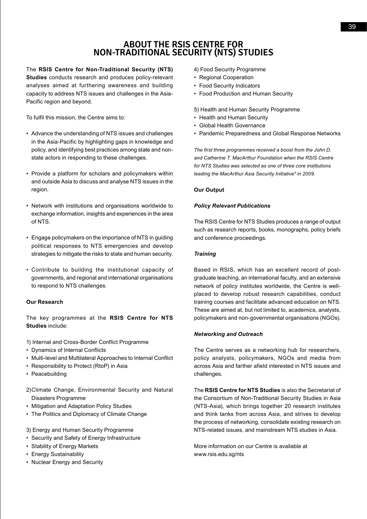# **About the RSIS Centre for Non-Traditional Security (NTS) Studies**

The **RSIS Centre for Non-Traditional Security (NTS)** 

**Studies** conducts research and produces policy-relevant analyses aimed at furthering awareness and building capacity to address NTS issues and challenges in the Asia-Pacific region and beyond.

To fulfil this mission, the Centre aims to:

- • Advance the understanding of NTS issues and challenges in the Asia-Pacific by highlighting gaps in knowledge and policy, and identifying best practices among state and nonstate actors in responding to these challenges.
- Provide a platform for scholars and policymakers within and outside Asia to discuss and analyse NTS issues in the region.
- • Network with institutions and organisations worldwide to exchange information, insights and experiences in the area of NTS.
- • Engage policymakers on the importance of NTS in guiding political responses to NTS emergencies and develop strategies to mitigate the risks to state and human security.
- • Contribute to building the institutional capacity of governments, and regional and international organisations to respond to NTS challenges.

## **Our Research**

The key programmes at the **RSIS Centre for NTS Studies** include:

- 1) Internal and Cross-Border Conflict Programme
- • Dynamics of Internal Conflicts
- Multi-level and Multilateral Approaches to Internal Conflict
- Responsibility to Protect (RtoP) in Asia
- Peacebuilding
- 2)Climate Change, Environmental Security and Natural Disasters Programme
- Mitigation and Adaptation Policy Studies
- The Politics and Diplomacy of Climate Change
- 3) Energy and Human Security Programme
- • Security and Safety of Energy Infrastructure
- Stability of Energy Markets
- Energy Sustainability
- Nuclear Energy and Security
- 4) Food Security Programme
- Regional Cooperation
- • Food Security Indicators
- • Food Production and Human Security

5) Health and Human Security Programme

- Health and Human Security
- • Global Health Governance
- Pandemic Preparedness and Global Response Networks

*The first three programmes received a boost from the John D. and Catherine T. MacArthur Foundation when the RSIS Centre for NTS Studies was selected as one of three core institutions leading the MacArthur Asia Security Initiative\* in 2009.*

## **Our Output**

### *Policy Relevant Publications*

The RSIS Centre for NTS Studies produces a range of output such as research reports, books, monographs, policy briefs and conference proceedings.

### *Training*

Based in RSIS, which has an excellent record of postgraduate teaching, an international faculty, and an extensive network of policy institutes worldwide, the Centre is wellplaced to develop robust research capabilities, conduct training courses and facilitate advanced education on NTS. These are aimed at, but not limited to, academics, analysts, policymakers and non-governmental organisations (NGOs).

## *Networking and Outreach*

The Centre serves as a networking hub for researchers, policy analysts, policymakers, NGOs and media from across Asia and farther afield interested in NTS issues and challenges.

The **RSIS Centre for NTS Studies** is also the Secretariat of the Consortium of Non-Traditional Security Studies in Asia (NTS-Asia), which brings together 20 research institutes and think tanks from across Asia, and strives to develop the process of networking, consolidate existing research on NTS-related issues, and mainstream NTS studies in Asia.

More information on our Centre is available at www.rsis.edu.sg/nts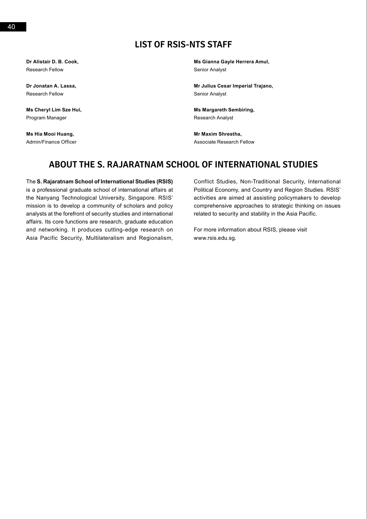# **List of RSIS-NTS Staff**

**Dr Alistair D. B. Cook,** Research Fellow

**Dr Jonatan A. Lassa,** Research Fellow

**Ms Cheryl Lim Sze Hui,** Program Manager

**Ms Hia Mooi Huang,** Admin/Finance Officer **Ms Gianna Gayle Herrera Amul,** Senior Analyst

**Mr Julius Cesar Imperial Trajano,** Senior Analyst

**Ms Margareth Sembiring,** Research Analyst

**Mr Maxim Shrestha,** Associate Research Fellow

# **About the S. Rajaratnam School of International Studies**

The **S. Rajaratnam School of International Studies (RSIS)** is a professional graduate school of international affairs at the Nanyang Technological University, Singapore. RSIS' mission is to develop a community of scholars and policy analysts at the forefront of security studies and international affairs. Its core functions are research, graduate education and networking. It produces cutting-edge research on Asia Pacific Security, Multilateralism and Regionalism, Conflict Studies, Non-Traditional Security, International Political Economy, and Country and Region Studies. RSIS' activities are aimed at assisting policymakers to develop comprehensive approaches to strategic thinking on issues related to security and stability in the Asia Pacific.

For more information about RSIS, please visit www.rsis.edu.sg.